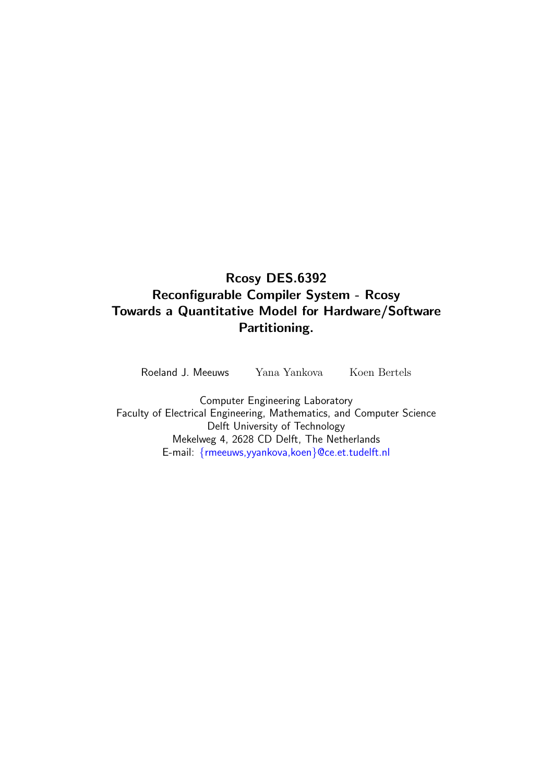### Rcosy DES.6392 Reconfigurable Compiler System - Rcosy Towards a Quantitative Model for Hardware/Software Partitioning.

Roeland J. Meeuws Yana Yankova Koen Bertels

Computer Engineering Laboratory Faculty of Electrical Engineering, Mathematics, and Computer Science Delft University of Technology Mekelweg 4, 2628 CD Delft, The Netherlands E-mail: {rmeeuws,yyankova,koen}@ce.et.tudelft.nl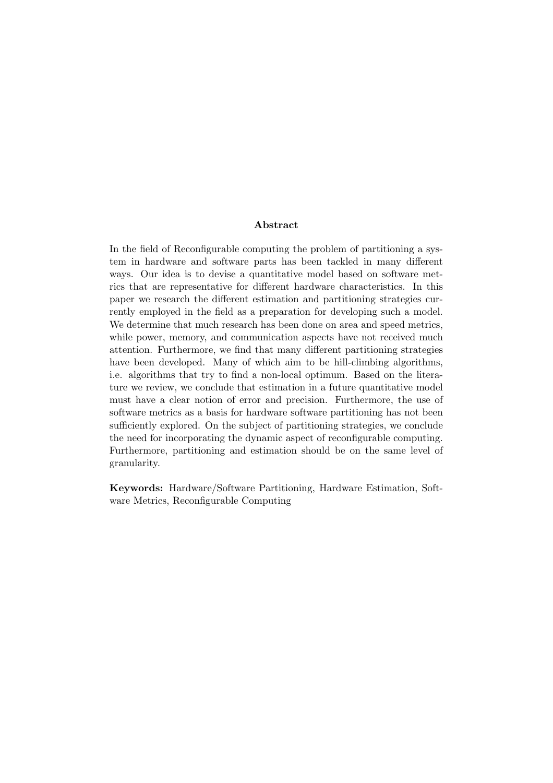#### Abstract

In the field of Reconfigurable computing the problem of partitioning a system in hardware and software parts has been tackled in many different ways. Our idea is to devise a quantitative model based on software metrics that are representative for different hardware characteristics. In this paper we research the different estimation and partitioning strategies currently employed in the field as a preparation for developing such a model. We determine that much research has been done on area and speed metrics, while power, memory, and communication aspects have not received much attention. Furthermore, we find that many different partitioning strategies have been developed. Many of which aim to be hill-climbing algorithms, i.e. algorithms that try to find a non-local optimum. Based on the literature we review, we conclude that estimation in a future quantitative model must have a clear notion of error and precision. Furthermore, the use of software metrics as a basis for hardware software partitioning has not been sufficiently explored. On the subject of partitioning strategies, we conclude the need for incorporating the dynamic aspect of reconfigurable computing. Furthermore, partitioning and estimation should be on the same level of granularity.

Keywords: Hardware/Software Partitioning, Hardware Estimation, Software Metrics, Reconfigurable Computing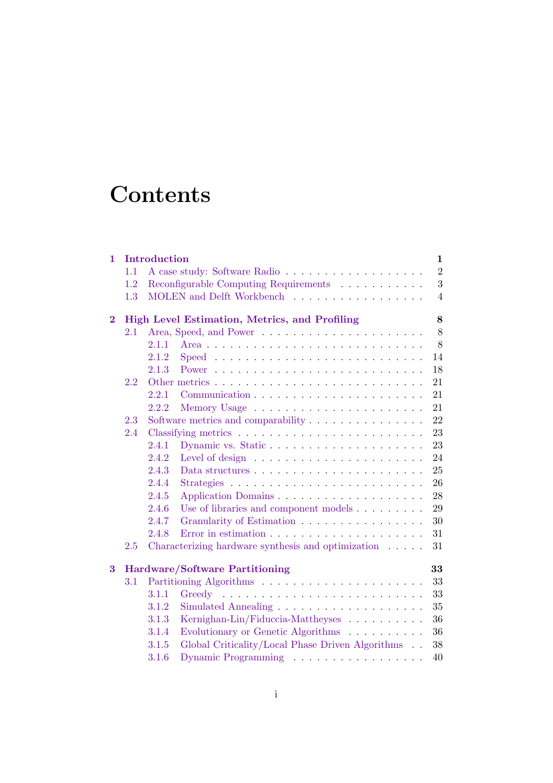# **Contents**

|     |                                                                                  | $\mathbf{1}$                                                                                                                                 |  |  |  |  |  |  |  |  |
|-----|----------------------------------------------------------------------------------|----------------------------------------------------------------------------------------------------------------------------------------------|--|--|--|--|--|--|--|--|
| 1.1 | $\overline{2}$                                                                   |                                                                                                                                              |  |  |  |  |  |  |  |  |
| 1.2 | Reconfigurable Computing Requirements $\ldots \ldots \ldots$                     | 3                                                                                                                                            |  |  |  |  |  |  |  |  |
| 1.3 | MOLEN and Delft Workbench                                                        | $\overline{4}$                                                                                                                               |  |  |  |  |  |  |  |  |
|     |                                                                                  | 8                                                                                                                                            |  |  |  |  |  |  |  |  |
| 2.1 |                                                                                  | 8                                                                                                                                            |  |  |  |  |  |  |  |  |
|     | 2.1.1                                                                            | 8                                                                                                                                            |  |  |  |  |  |  |  |  |
|     | 2.1.2                                                                            | 14                                                                                                                                           |  |  |  |  |  |  |  |  |
|     | 2.1.3                                                                            | 18                                                                                                                                           |  |  |  |  |  |  |  |  |
| 2.2 |                                                                                  | 21                                                                                                                                           |  |  |  |  |  |  |  |  |
|     | 2.2.1                                                                            | 21                                                                                                                                           |  |  |  |  |  |  |  |  |
|     | 2.2.2                                                                            | 21                                                                                                                                           |  |  |  |  |  |  |  |  |
| 2.3 | Software metrics and comparability                                               | 22                                                                                                                                           |  |  |  |  |  |  |  |  |
| 2.4 |                                                                                  | 23                                                                                                                                           |  |  |  |  |  |  |  |  |
|     | 2.4.1                                                                            | 23                                                                                                                                           |  |  |  |  |  |  |  |  |
|     | 2.4.2                                                                            | 24                                                                                                                                           |  |  |  |  |  |  |  |  |
|     | 2.4.3<br>Data structures $\dots \dots \dots \dots \dots \dots \dots \dots \dots$ | 25                                                                                                                                           |  |  |  |  |  |  |  |  |
|     | 2.4.4                                                                            | 26                                                                                                                                           |  |  |  |  |  |  |  |  |
|     | 2.4.5                                                                            | 28                                                                                                                                           |  |  |  |  |  |  |  |  |
|     | 2.4.6<br>Use of libraries and component models                                   | 29                                                                                                                                           |  |  |  |  |  |  |  |  |
|     | 2.4.7<br>Granularity of Estimation                                               | 30                                                                                                                                           |  |  |  |  |  |  |  |  |
|     | 2.4.8                                                                            | 31                                                                                                                                           |  |  |  |  |  |  |  |  |
| 2.5 | Characterizing hardware synthesis and optimization                               | 31                                                                                                                                           |  |  |  |  |  |  |  |  |
|     |                                                                                  | 33                                                                                                                                           |  |  |  |  |  |  |  |  |
| 3.1 |                                                                                  | 33                                                                                                                                           |  |  |  |  |  |  |  |  |
|     | 3.1.1                                                                            | 33                                                                                                                                           |  |  |  |  |  |  |  |  |
|     | 3.1.2                                                                            | 35                                                                                                                                           |  |  |  |  |  |  |  |  |
|     | 3.1.3<br>Kernighan-Lin/Fiduccia-Mattheyses                                       | 36                                                                                                                                           |  |  |  |  |  |  |  |  |
|     | 3.1.4                                                                            | 36                                                                                                                                           |  |  |  |  |  |  |  |  |
|     | Global Criticality/Local Phase Driven Algorithms<br>3.1.5                        | 38                                                                                                                                           |  |  |  |  |  |  |  |  |
|     | Dynamic Programming<br>3.1.6                                                     | 40                                                                                                                                           |  |  |  |  |  |  |  |  |
|     |                                                                                  | Introduction<br>High Level Estimation, Metrics, and Profiling<br><b>Hardware/Software Partitioning</b><br>Evolutionary or Genetic Algorithms |  |  |  |  |  |  |  |  |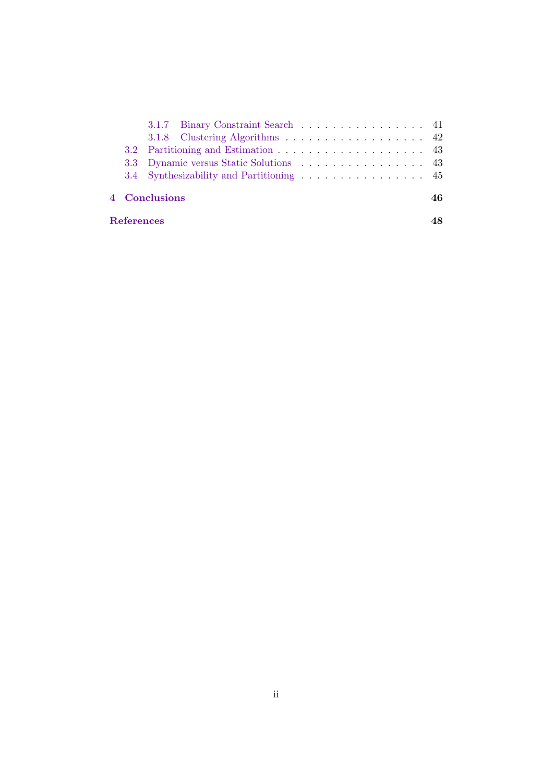| References |                                   |  |
|------------|-----------------------------------|--|
|            | <b>4 Conclusions</b><br>46        |  |
|            |                                   |  |
|            |                                   |  |
|            |                                   |  |
|            | 3.1.8 Clustering Algorithms 42    |  |
|            | 3.1.7 Binary Constraint Search 41 |  |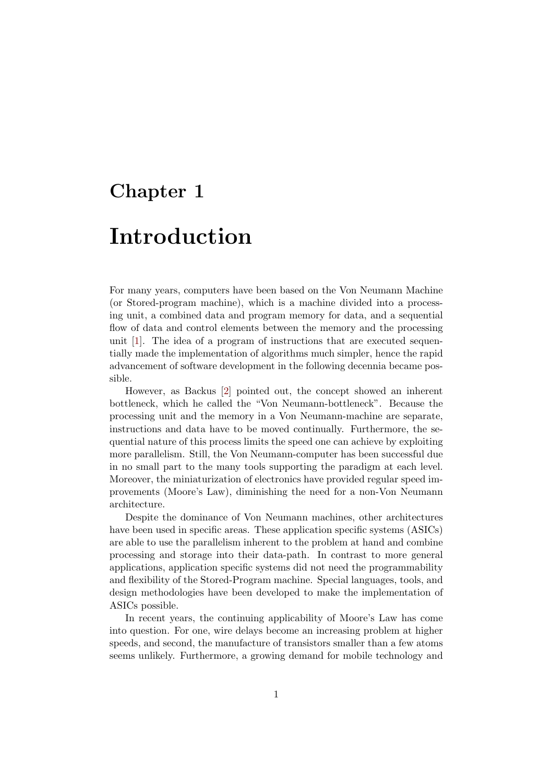### Chapter 1

## Introduction

For many years, computers have been based on the Von Neumann Machine (or Stored-program machine), which is a machine divided into a processing unit, a combined data and program memory for data, and a sequential flow of data and control elements between the memory and the processing unit [1]. The idea of a program of instructions that are executed sequentially made the implementation of algorithms much simpler, hence the rapid advancement of software development in the following decennia became possible.

However, as Backus [2] pointed out, the concept showed an inherent bottleneck, which he called the "Von Neumann-bottleneck". Because the processing unit and the memory in a Von Neumann-machine are separate, instructions and data have to be moved continually. Furthermore, the sequential nature of this process limits the speed one can achieve by exploiting more parallelism. Still, the Von Neumann-computer has been successful due in no small part to the many tools supporting the paradigm at each level. Moreover, the miniaturization of electronics have provided regular speed improvements (Moore's Law), diminishing the need for a non-Von Neumann architecture.

Despite the dominance of Von Neumann machines, other architectures have been used in specific areas. These application specific systems (ASICs) are able to use the parallelism inherent to the problem at hand and combine processing and storage into their data-path. In contrast to more general applications, application specific systems did not need the programmability and flexibility of the Stored-Program machine. Special languages, tools, and design methodologies have been developed to make the implementation of ASICs possible.

In recent years, the continuing applicability of Moore's Law has come into question. For one, wire delays become an increasing problem at higher speeds, and second, the manufacture of transistors smaller than a few atoms seems unlikely. Furthermore, a growing demand for mobile technology and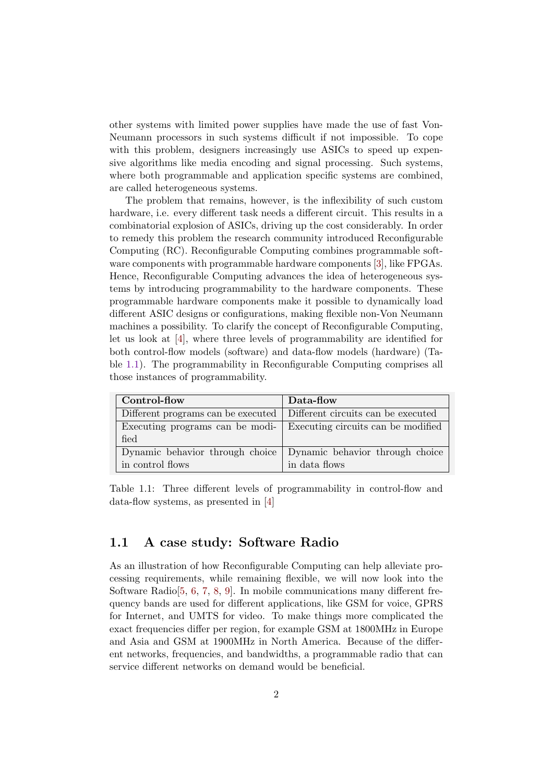other systems with limited power supplies have made the use of fast Von-Neumann processors in such systems difficult if not impossible. To cope with this problem, designers increasingly use ASICs to speed up expensive algorithms like media encoding and signal processing. Such systems, where both programmable and application specific systems are combined, are called heterogeneous systems.

The problem that remains, however, is the inflexibility of such custom hardware, i.e. every different task needs a different circuit. This results in a combinatorial explosion of ASICs, driving up the cost considerably. In order to remedy this problem the research community introduced Reconfigurable Computing (RC). Reconfigurable Computing combines programmable software components with programmable hardware components [3], like FPGAs. Hence, Reconfigurable Computing advances the idea of heterogeneous systems by introducing programmability to the hardware components. These programmable hardware components make it possible to dynamically load different ASIC designs or configurations, making flexible non-Von Neumann machines a possibility. To clarify the concept of Reconfigurable Computing, let us look at [4], where three levels of programmability are identified for both control-flow models (software) and data-flow models (hardware) (Table 1.1). The programmability in Reconfigurable Computing comprises all those instances of programmability.

| Control-flow                                                            | Data-flow                       |
|-------------------------------------------------------------------------|---------------------------------|
| Different programs can be executed   Different circuits can be executed |                                 |
| Executing programs can be modi- Executing circuits can be modified      |                                 |
| fied                                                                    |                                 |
| Dynamic behavior through choice                                         | Dynamic behavior through choice |
| in control flows                                                        | in data flows                   |

Table 1.1: Three different levels of programmability in control-flow and data-flow systems, as presented in [4]

#### 1.1 A case study: Software Radio

As an illustration of how Reconfigurable Computing can help alleviate processing requirements, while remaining flexible, we will now look into the Software Radio $[5, 6, 7, 8, 9]$ . In mobile communications many different frequency bands are used for different applications, like GSM for voice, GPRS for Internet, and UMTS for video. To make things more complicated the exact frequencies differ per region, for example GSM at 1800MHz in Europe and Asia and GSM at 1900MHz in North America. Because of the different networks, frequencies, and bandwidths, a programmable radio that can service different networks on demand would be beneficial.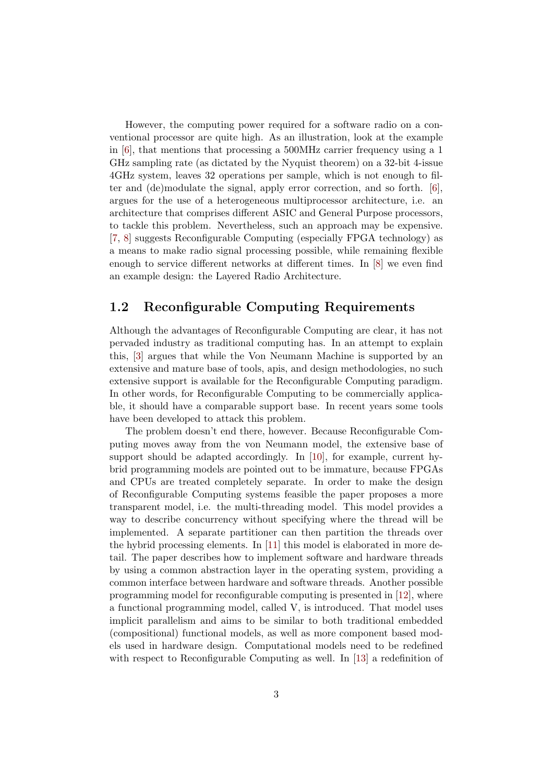However, the computing power required for a software radio on a conventional processor are quite high. As an illustration, look at the example in [6], that mentions that processing a 500MHz carrier frequency using a 1 GHz sampling rate (as dictated by the Nyquist theorem) on a 32-bit 4-issue 4GHz system, leaves 32 operations per sample, which is not enough to filter and (de)modulate the signal, apply error correction, and so forth. [6], argues for the use of a heterogeneous multiprocessor architecture, i.e. an architecture that comprises different ASIC and General Purpose processors, to tackle this problem. Nevertheless, such an approach may be expensive. [7, 8] suggests Reconfigurable Computing (especially FPGA technology) as a means to make radio signal processing possible, while remaining flexible enough to service different networks at different times. In [8] we even find an example design: the Layered Radio Architecture.

#### 1.2 Reconfigurable Computing Requirements

Although the advantages of Reconfigurable Computing are clear, it has not pervaded industry as traditional computing has. In an attempt to explain this, [3] argues that while the Von Neumann Machine is supported by an extensive and mature base of tools, apis, and design methodologies, no such extensive support is available for the Reconfigurable Computing paradigm. In other words, for Reconfigurable Computing to be commercially applicable, it should have a comparable support base. In recent years some tools have been developed to attack this problem.

The problem doesn't end there, however. Because Reconfigurable Computing moves away from the von Neumann model, the extensive base of support should be adapted accordingly. In [10], for example, current hybrid programming models are pointed out to be immature, because FPGAs and CPUs are treated completely separate. In order to make the design of Reconfigurable Computing systems feasible the paper proposes a more transparent model, i.e. the multi-threading model. This model provides a way to describe concurrency without specifying where the thread will be implemented. A separate partitioner can then partition the threads over the hybrid processing elements. In [11] this model is elaborated in more detail. The paper describes how to implement software and hardware threads by using a common abstraction layer in the operating system, providing a common interface between hardware and software threads. Another possible programming model for reconfigurable computing is presented in [12], where a functional programming model, called V, is introduced. That model uses implicit parallelism and aims to be similar to both traditional embedded (compositional) functional models, as well as more component based models used in hardware design. Computational models need to be redefined with respect to Reconfigurable Computing as well. In [13] a redefinition of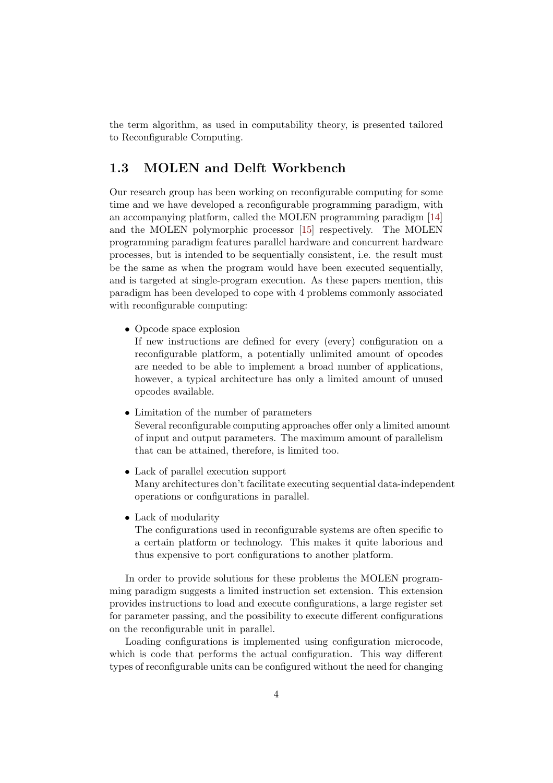the term algorithm, as used in computability theory, is presented tailored to Reconfigurable Computing.

#### 1.3 MOLEN and Delft Workbench

Our research group has been working on reconfigurable computing for some time and we have developed a reconfigurable programming paradigm, with an accompanying platform, called the MOLEN programming paradigm [14] and the MOLEN polymorphic processor [15] respectively. The MOLEN programming paradigm features parallel hardware and concurrent hardware processes, but is intended to be sequentially consistent, i.e. the result must be the same as when the program would have been executed sequentially, and is targeted at single-program execution. As these papers mention, this paradigm has been developed to cope with 4 problems commonly associated with reconfigurable computing:

• Opcode space explosion

If new instructions are defined for every (every) configuration on a reconfigurable platform, a potentially unlimited amount of opcodes are needed to be able to implement a broad number of applications, however, a typical architecture has only a limited amount of unused opcodes available.

- Limitation of the number of parameters Several reconfigurable computing approaches offer only a limited amount of input and output parameters. The maximum amount of parallelism that can be attained, therefore, is limited too.
- Lack of parallel execution support Many architectures don't facilitate executing sequential data-independent operations or configurations in parallel.
- Lack of modularity

The configurations used in reconfigurable systems are often specific to a certain platform or technology. This makes it quite laborious and thus expensive to port configurations to another platform.

In order to provide solutions for these problems the MOLEN programming paradigm suggests a limited instruction set extension. This extension provides instructions to load and execute configurations, a large register set for parameter passing, and the possibility to execute different configurations on the reconfigurable unit in parallel.

Loading configurations is implemented using configuration microcode, which is code that performs the actual configuration. This way different types of reconfigurable units can be configured without the need for changing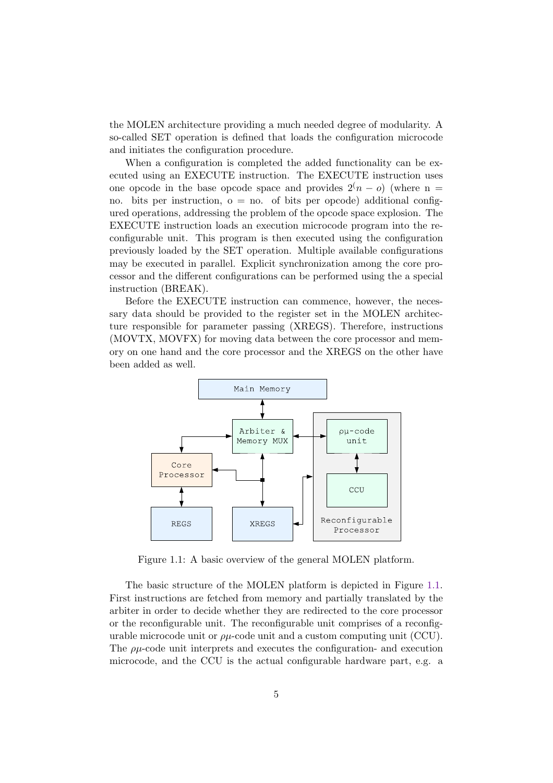the MOLEN architecture providing a much needed degree of modularity. A so-called SET operation is defined that loads the configuration microcode and initiates the configuration procedure.

When a configuration is completed the added functionality can be executed using an EXECUTE instruction. The EXECUTE instruction uses one opcode in the base opcode space and provides  $2(n - o)$  (where n = no. bits per instruction,  $o = no$ , of bits per opcode) additional configured operations, addressing the problem of the opcode space explosion. The EXECUTE instruction loads an execution microcode program into the reconfigurable unit. This program is then executed using the configuration previously loaded by the SET operation. Multiple available configurations may be executed in parallel. Explicit synchronization among the core processor and the different configurations can be performed using the a special instruction (BREAK).

Before the EXECUTE instruction can commence, however, the necessary data should be provided to the register set in the MOLEN architecture responsible for parameter passing (XREGS). Therefore, instructions (MOVTX, MOVFX) for moving data between the core processor and memory on one hand and the core processor and the XREGS on the other have been added as well.



Figure 1.1: A basic overview of the general MOLEN platform.

The basic structure of the MOLEN platform is depicted in Figure 1.1. First instructions are fetched from memory and partially translated by the arbiter in order to decide whether they are redirected to the core processor or the reconfigurable unit. The reconfigurable unit comprises of a reconfigurable microcode unit or  $\rho\mu$ -code unit and a custom computing unit (CCU). The  $\rho\mu$ -code unit interprets and executes the configuration- and execution microcode, and the CCU is the actual configurable hardware part, e.g. a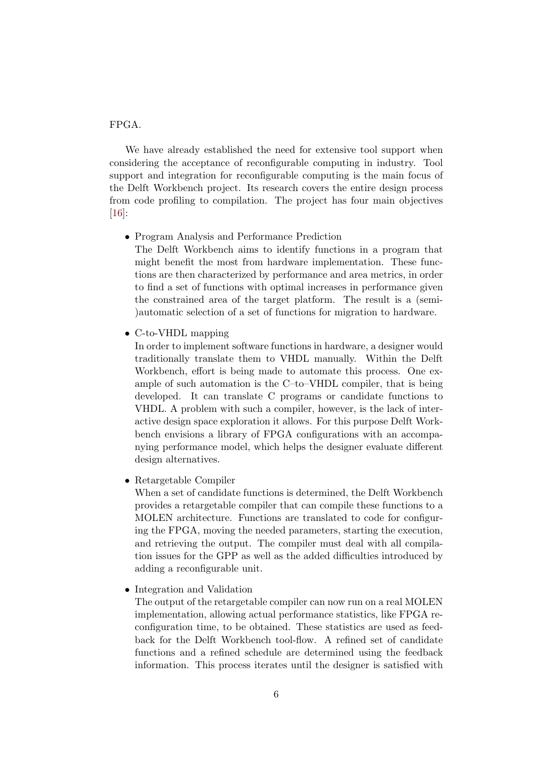#### FPGA.

We have already established the need for extensive tool support when considering the acceptance of reconfigurable computing in industry. Tool support and integration for reconfigurable computing is the main focus of the Delft Workbench project. Its research covers the entire design process from code profiling to compilation. The project has four main objectives [16]:

• Program Analysis and Performance Prediction

The Delft Workbench aims to identify functions in a program that might benefit the most from hardware implementation. These functions are then characterized by performance and area metrics, in order to find a set of functions with optimal increases in performance given the constrained area of the target platform. The result is a (semi- )automatic selection of a set of functions for migration to hardware.

• C-to-VHDL mapping

In order to implement software functions in hardware, a designer would traditionally translate them to VHDL manually. Within the Delft Workbench, effort is being made to automate this process. One example of such automation is the C–to–VHDL compiler, that is being developed. It can translate C programs or candidate functions to VHDL. A problem with such a compiler, however, is the lack of interactive design space exploration it allows. For this purpose Delft Workbench envisions a library of FPGA configurations with an accompanying performance model, which helps the designer evaluate different design alternatives.

• Retargetable Compiler

When a set of candidate functions is determined, the Delft Workbench provides a retargetable compiler that can compile these functions to a MOLEN architecture. Functions are translated to code for configuring the FPGA, moving the needed parameters, starting the execution, and retrieving the output. The compiler must deal with all compilation issues for the GPP as well as the added difficulties introduced by adding a reconfigurable unit.

• Integration and Validation

The output of the retargetable compiler can now run on a real MOLEN implementation, allowing actual performance statistics, like FPGA reconfiguration time, to be obtained. These statistics are used as feedback for the Delft Workbench tool-flow. A refined set of candidate functions and a refined schedule are determined using the feedback information. This process iterates until the designer is satisfied with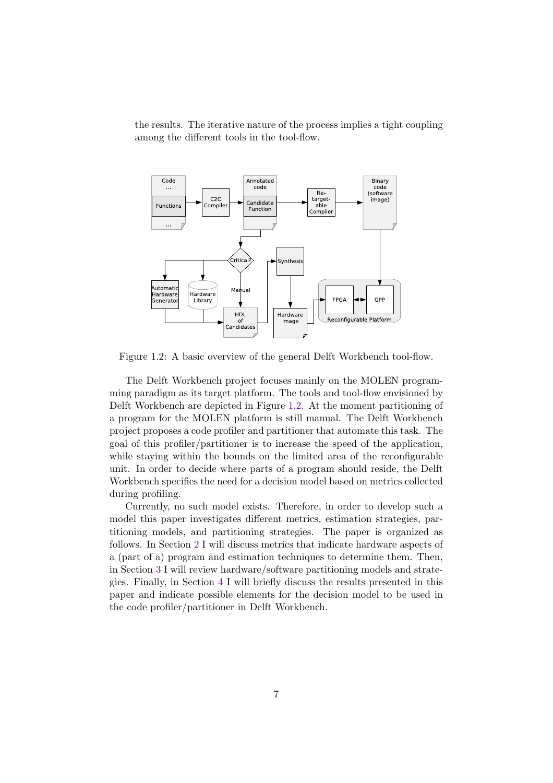the results. The iterative nature of the process implies a tight coupling among the different tools in the tool-flow.



Figure 1.2: A basic overview of the general Delft Workbench tool-flow.

The Delft Workbench project focuses mainly on the MOLEN programming paradigm as its target platform. The tools and tool-flow envisioned by Delft Workbench are depicted in Figure 1.2. At the moment partitioning of a program for the MOLEN platform is still manual. The Delft Workbench project proposes a code profiler and partitioner that automate this task. The goal of this profiler/partitioner is to increase the speed of the application, while staying within the bounds on the limited area of the reconfigurable unit. In order to decide where parts of a program should reside, the Delft Workbench specifies the need for a decision model based on metrics collected during profiling.

Currently, no such model exists. Therefore, in order to develop such a model this paper investigates different metrics, estimation strategies, partitioning models, and partitioning strategies. The paper is organized as follows. In Section 2 I will discuss metrics that indicate hardware aspects of a (part of a) program and estimation techniques to determine them. Then, in Section 3 I will review hardware/software partitioning models and strategies. Finally, in Section 4 I will briefly discuss the results presented in this paper and indicate possible elements for the decision model to be used in the code profiler/partitioner in Delft Workbench.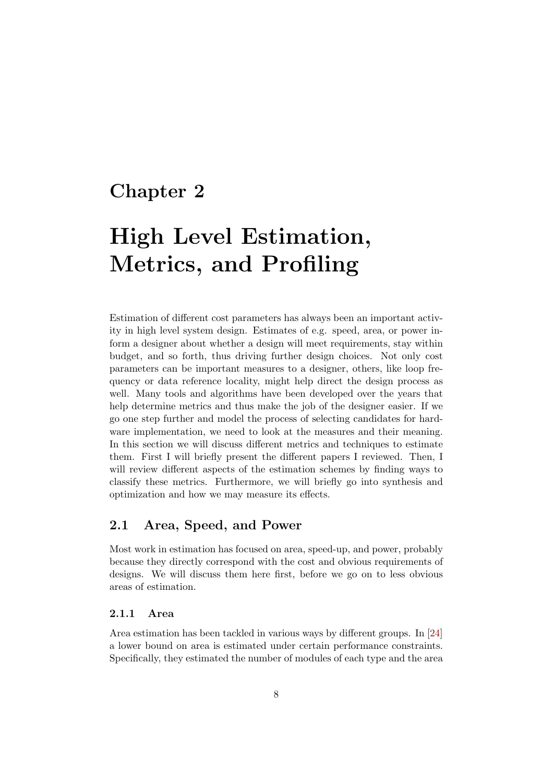### Chapter 2

# High Level Estimation, Metrics, and Profiling

Estimation of different cost parameters has always been an important activity in high level system design. Estimates of e.g. speed, area, or power inform a designer about whether a design will meet requirements, stay within budget, and so forth, thus driving further design choices. Not only cost parameters can be important measures to a designer, others, like loop frequency or data reference locality, might help direct the design process as well. Many tools and algorithms have been developed over the years that help determine metrics and thus make the job of the designer easier. If we go one step further and model the process of selecting candidates for hardware implementation, we need to look at the measures and their meaning. In this section we will discuss different metrics and techniques to estimate them. First I will briefly present the different papers I reviewed. Then, I will review different aspects of the estimation schemes by finding ways to classify these metrics. Furthermore, we will briefly go into synthesis and optimization and how we may measure its effects.

#### 2.1 Area, Speed, and Power

Most work in estimation has focused on area, speed-up, and power, probably because they directly correspond with the cost and obvious requirements of designs. We will discuss them here first, before we go on to less obvious areas of estimation.

#### 2.1.1 Area

Area estimation has been tackled in various ways by different groups. In [24] a lower bound on area is estimated under certain performance constraints. Specifically, they estimated the number of modules of each type and the area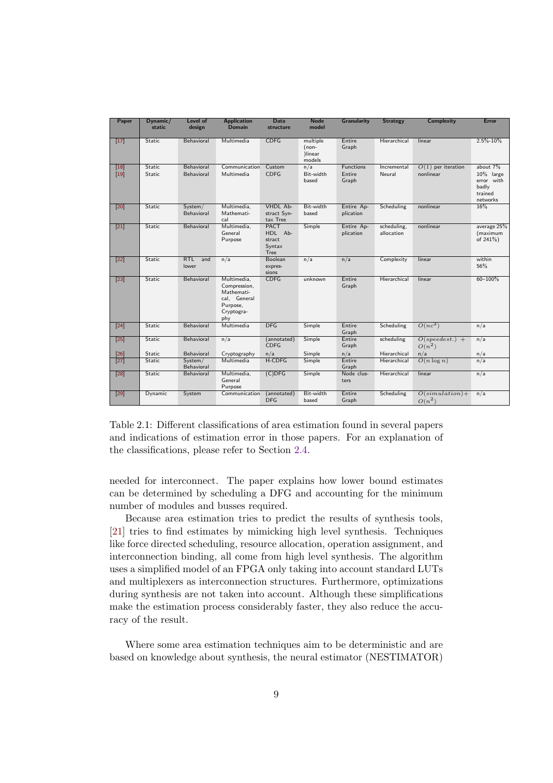| Paper             | Dynamic/<br>static | Level of<br>design    | <b>Application</b><br><b>Domain</b>                                                        | <b>Data</b><br>structure                           | <b>Node</b><br>model                     | <b>Granularity</b>      | <b>Strategy</b>           | <b>Complexity</b>             | Error                                                   |
|-------------------|--------------------|-----------------------|--------------------------------------------------------------------------------------------|----------------------------------------------------|------------------------------------------|-------------------------|---------------------------|-------------------------------|---------------------------------------------------------|
| $[17]$            | Static             | Behavioral            | Multimedia                                                                                 | <b>CDFG</b>                                        | multiple<br>$(non-$<br>)linear<br>models | Entire<br>Graph         | Hierarchical              | linear                        | $2.5\% - 10\%$                                          |
| $[18]$            | Static             | Behavioral            | Communication                                                                              | Custom                                             | n/a                                      | Functions               | Incremental               | $O(1)$ per iteration          | about 7%                                                |
| $[19]$            | Static             | Behavioral            | Multimedia                                                                                 | <b>CDFG</b>                                        | Bit-width<br>based                       | Entire<br>Graph         | Neural                    | nonlinear                     | 10% large<br>error with<br>badly<br>trained<br>networks |
| [20]              | Static             | System/<br>Behavioral | Multimedia,<br>Mathemati-<br>cal                                                           | VHDL Ab-<br>stract Syn-<br>tax Tree                | Bit-width<br>based                       | Entire Ap-<br>plication | Scheduling                | nonlinear                     | 16%                                                     |
| $[21]$            | Static             | Behavioral            | Multimedia,<br>General<br>Purpose                                                          | <b>PACT</b><br>HDL Ab-<br>stract<br>Syntax<br>Tree | Simple                                   | Entire Ap-<br>plication | scheduling,<br>allocation | nonlinear                     | average 25%<br>(maximum<br>of 241%)                     |
| $[22]$            | Static             | RTL<br>and<br>lower   | n/a                                                                                        | Boolean<br>expres-<br>sions                        | n/a                                      | n/a                     | Complexity                | linear                        | within<br>56%                                           |
| $[23]$            | <b>Static</b>      | Behavioral            | Multimedia,<br>Compression,<br>Mathemati-<br>cal, General<br>Purpose,<br>Cryptogra-<br>phy | <b>CDFG</b>                                        | unknown                                  | Entire<br>Graph         | Hierarchical              | linear                        | 60-100%                                                 |
| $[24]$            | Static             | Behavioral            | Multimedia                                                                                 | <b>DFG</b>                                         | Simple                                   | Entire<br>Graph         | Scheduling                | $O(nc^2)$                     | n/a                                                     |
| $[25]$            | Static             | Behavioral            | n/a                                                                                        | (annotated)<br><b>CDFG</b>                         | Simple                                   | Entire<br>Graph         | scheduling                | $O(speedest.) +$<br>$O(n^2)$  | n/a                                                     |
| $\overline{[26]}$ | Static             | Behavioral            | Cryptography                                                                               | n/a                                                | Simple                                   | n/a                     | Hierarchical              | n/a                           | n/a                                                     |
| $[27]$            | Static             | System/<br>Behavioral | Multimedia                                                                                 | H-CDFG                                             | Simple                                   | Entire<br>Graph         | Hierarchical              | $O(n \log n)$                 | n/a                                                     |
| [28]              | Static             | Behavioral            | Multimedia,<br>General<br>Purpose                                                          | $(C)$ DFG                                          | Simple                                   | Node clus-<br>ters      | Hierarchical              | linear                        | n/a                                                     |
| [29]              | Dynamic            | System                | Communication                                                                              | (annotated)<br><b>DFG</b>                          | Bit-width<br>based                       | Entire<br>Graph         | Scheduling                | $O(simulation) +$<br>$O(n^2)$ | n/a                                                     |

Table 2.1: Different classifications of area estimation found in several papers and indications of estimation error in those papers. For an explanation of the classifications, please refer to Section 2.4.

needed for interconnect. The paper explains how lower bound estimates can be determined by scheduling a DFG and accounting for the minimum number of modules and busses required.

Because area estimation tries to predict the results of synthesis tools, [21] tries to find estimates by mimicking high level synthesis. Techniques like force directed scheduling, resource allocation, operation assignment, and interconnection binding, all come from high level synthesis. The algorithm uses a simplified model of an FPGA only taking into account standard LUTs and multiplexers as interconnection structures. Furthermore, optimizations during synthesis are not taken into account. Although these simplifications make the estimation process considerably faster, they also reduce the accuracy of the result.

Where some area estimation techniques aim to be deterministic and are based on knowledge about synthesis, the neural estimator (NESTIMATOR)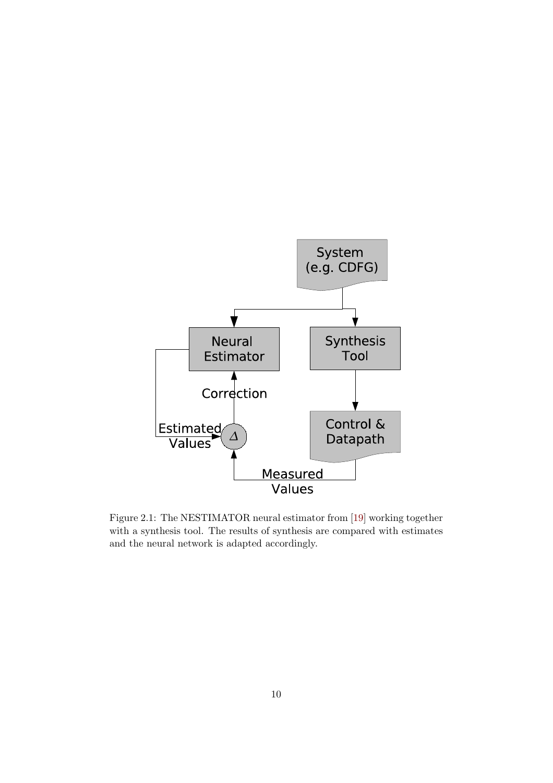

Figure 2.1: The NESTIMATOR neural estimator from [19] working together with a synthesis tool. The results of synthesis are compared with estimates and the neural network is adapted accordingly.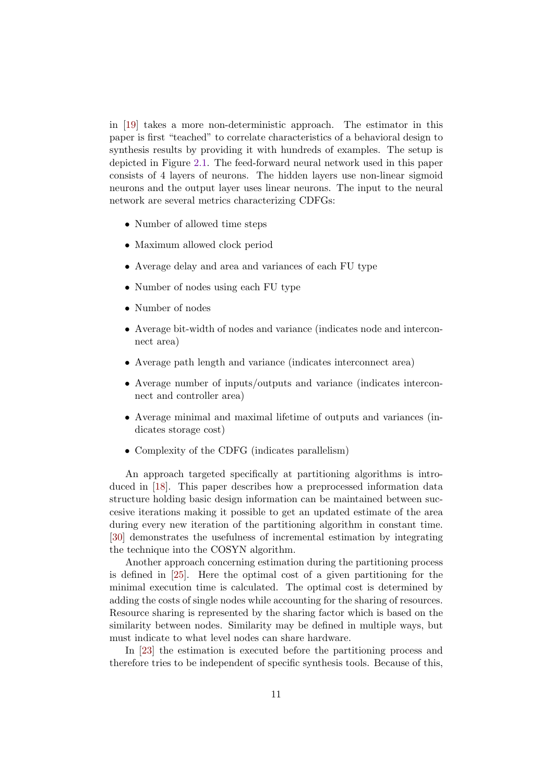in [19] takes a more non-deterministic approach. The estimator in this paper is first "teached" to correlate characteristics of a behavioral design to synthesis results by providing it with hundreds of examples. The setup is depicted in Figure 2.1. The feed-forward neural network used in this paper consists of 4 layers of neurons. The hidden layers use non-linear sigmoid neurons and the output layer uses linear neurons. The input to the neural network are several metrics characterizing CDFGs:

- Number of allowed time steps
- Maximum allowed clock period
- Average delay and area and variances of each FU type
- Number of nodes using each FU type
- Number of nodes
- Average bit-width of nodes and variance (indicates node and interconnect area)
- Average path length and variance (indicates interconnect area)
- Average number of inputs/outputs and variance (indicates interconnect and controller area)
- Average minimal and maximal lifetime of outputs and variances (indicates storage cost)
- Complexity of the CDFG (indicates parallelism)

An approach targeted specifically at partitioning algorithms is introduced in [18]. This paper describes how a preprocessed information data structure holding basic design information can be maintained between succesive iterations making it possible to get an updated estimate of the area during every new iteration of the partitioning algorithm in constant time. [30] demonstrates the usefulness of incremental estimation by integrating the technique into the COSYN algorithm.

Another approach concerning estimation during the partitioning process is defined in [25]. Here the optimal cost of a given partitioning for the minimal execution time is calculated. The optimal cost is determined by adding the costs of single nodes while accounting for the sharing of resources. Resource sharing is represented by the sharing factor which is based on the similarity between nodes. Similarity may be defined in multiple ways, but must indicate to what level nodes can share hardware.

In [23] the estimation is executed before the partitioning process and therefore tries to be independent of specific synthesis tools. Because of this,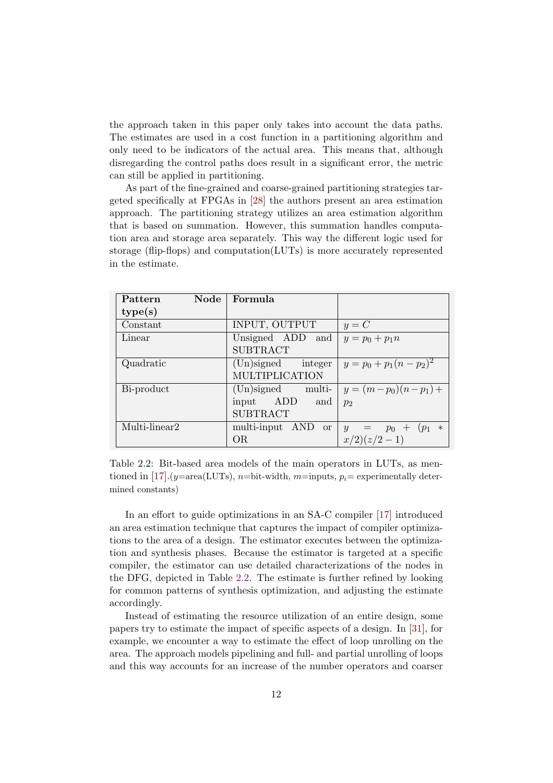the approach taken in this paper only takes into account the data paths. The estimates are used in a cost function in a partitioning algorithm and only need to be indicators of the actual area. This means that, although disregarding the control paths does result in a significant error, the metric can still be applied in partitioning.

As part of the fine-grained and coarse-grained partitioning strategies targeted specifically at FPGAs in [28] the authors present an area estimation approach. The partitioning strategy utilizes an area estimation algorithm that is based on summation. However, this summation handles computation area and storage area separately. This way the different logic used for storage (flip-flops) and computation(LUTs) is more accurately represented in the estimate.

| Node<br>Pattern | Formula              |                             |
|-----------------|----------------------|-----------------------------|
| type(s)         |                      |                             |
| Constant        | INPUT, OUTPUT        | $y = C$                     |
| Linear          | Unsigned ADD<br>and  | $y = p_0 + p_1 n$           |
|                 | <b>SUBTRACT</b>      |                             |
| Quadratic       | (Un)signed integer   | $y = p_0 + p_1(n - p_2)^2$  |
|                 | MULTIPLICATION       |                             |
| Bi-product      | $(Un)$ signed multi- | $y = (m-p_0)(n-p_1) +$      |
|                 | input ADD<br>and     | $p_2$                       |
|                 | <b>SUBTRACT</b>      |                             |
| Multi-linear2   | multi-input AND or   | $y = p_0 + (p_1)$<br>$\ast$ |
|                 | ОR                   | $x/2)(z/2-1)$               |

Table 2.2: Bit-based area models of the main operators in LUTs, as mentioned in [17].  $(y=\text{area}(LUTs), n=\text{bit-width}, m=\text{inputs}, p_i=\text{experimentally deter-}$ mined constants)

In an effort to guide optimizations in an SA-C compiler [17] introduced an area estimation technique that captures the impact of compiler optimizations to the area of a design. The estimator executes between the optimization and synthesis phases. Because the estimator is targeted at a specific compiler, the estimator can use detailed characterizations of the nodes in the DFG, depicted in Table 2.2. The estimate is further refined by looking for common patterns of synthesis optimization, and adjusting the estimate accordingly.

Instead of estimating the resource utilization of an entire design, some papers try to estimate the impact of specific aspects of a design. In [31], for example, we encounter a way to estimate the effect of loop unrolling on the area. The approach models pipelining and full- and partial unrolling of loops and this way accounts for an increase of the number operators and coarser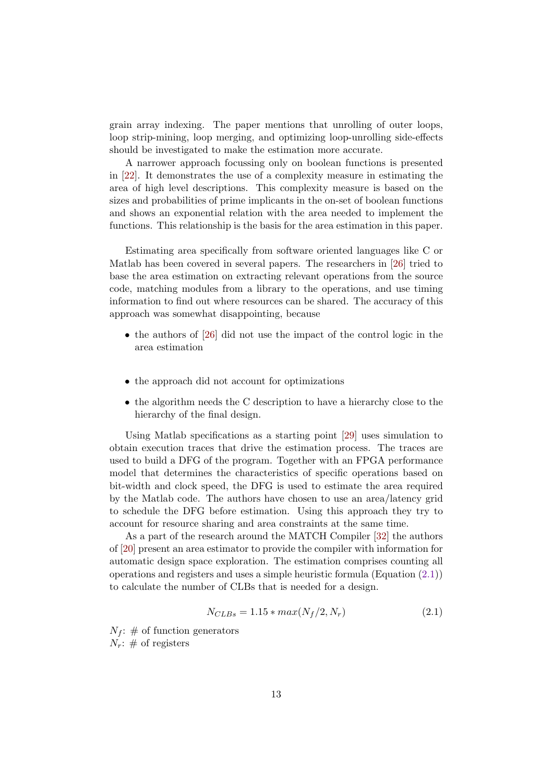grain array indexing. The paper mentions that unrolling of outer loops, loop strip-mining, loop merging, and optimizing loop-unrolling side-effects should be investigated to make the estimation more accurate.

A narrower approach focussing only on boolean functions is presented in [22]. It demonstrates the use of a complexity measure in estimating the area of high level descriptions. This complexity measure is based on the sizes and probabilities of prime implicants in the on-set of boolean functions and shows an exponential relation with the area needed to implement the functions. This relationship is the basis for the area estimation in this paper.

Estimating area specifically from software oriented languages like C or Matlab has been covered in several papers. The researchers in [26] tried to base the area estimation on extracting relevant operations from the source code, matching modules from a library to the operations, and use timing information to find out where resources can be shared. The accuracy of this approach was somewhat disappointing, because

- the authors of [26] did not use the impact of the control logic in the area estimation
- the approach did not account for optimizations
- the algorithm needs the C description to have a hierarchy close to the hierarchy of the final design.

Using Matlab specifications as a starting point [29] uses simulation to obtain execution traces that drive the estimation process. The traces are used to build a DFG of the program. Together with an FPGA performance model that determines the characteristics of specific operations based on bit-width and clock speed, the DFG is used to estimate the area required by the Matlab code. The authors have chosen to use an area/latency grid to schedule the DFG before estimation. Using this approach they try to account for resource sharing and area constraints at the same time.

As a part of the research around the MATCH Compiler [32] the authors of [20] present an area estimator to provide the compiler with information for automatic design space exploration. The estimation comprises counting all operations and registers and uses a simple heuristic formula (Equation (2.1)) to calculate the number of CLBs that is needed for a design.

$$
N_{CLBs} = 1.15 * max(N_f/2, N_r)
$$
\n(2.1)

 $N_f$ : # of function generators  $N_r$ : # of registers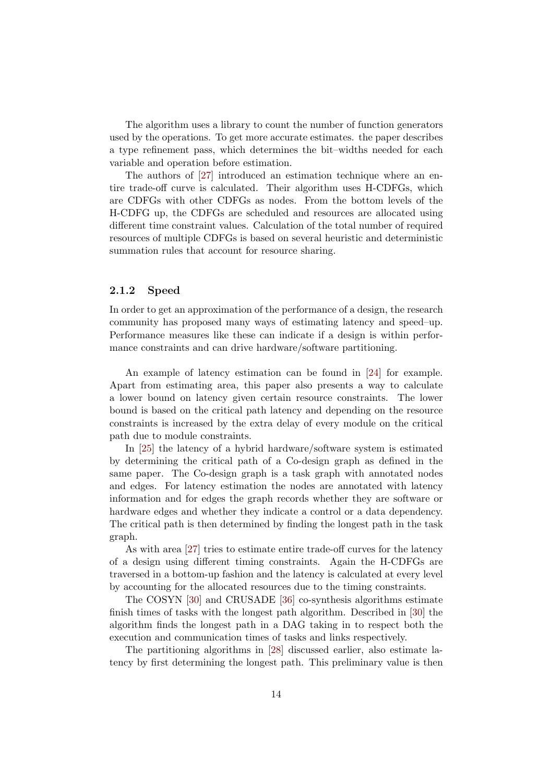The algorithm uses a library to count the number of function generators used by the operations. To get more accurate estimates. the paper describes a type refinement pass, which determines the bit–widths needed for each variable and operation before estimation.

The authors of [27] introduced an estimation technique where an entire trade-off curve is calculated. Their algorithm uses H-CDFGs, which are CDFGs with other CDFGs as nodes. From the bottom levels of the H-CDFG up, the CDFGs are scheduled and resources are allocated using different time constraint values. Calculation of the total number of required resources of multiple CDFGs is based on several heuristic and deterministic summation rules that account for resource sharing.

#### 2.1.2 Speed

In order to get an approximation of the performance of a design, the research community has proposed many ways of estimating latency and speed–up. Performance measures like these can indicate if a design is within performance constraints and can drive hardware/software partitioning.

An example of latency estimation can be found in [24] for example. Apart from estimating area, this paper also presents a way to calculate a lower bound on latency given certain resource constraints. The lower bound is based on the critical path latency and depending on the resource constraints is increased by the extra delay of every module on the critical path due to module constraints.

In [25] the latency of a hybrid hardware/software system is estimated by determining the critical path of a Co-design graph as defined in the same paper. The Co-design graph is a task graph with annotated nodes and edges. For latency estimation the nodes are annotated with latency information and for edges the graph records whether they are software or hardware edges and whether they indicate a control or a data dependency. The critical path is then determined by finding the longest path in the task graph.

As with area [27] tries to estimate entire trade-off curves for the latency of a design using different timing constraints. Again the H-CDFGs are traversed in a bottom-up fashion and the latency is calculated at every level by accounting for the allocated resources due to the timing constraints.

The COSYN [30] and CRUSADE [36] co-synthesis algorithms estimate finish times of tasks with the longest path algorithm. Described in [30] the algorithm finds the longest path in a DAG taking in to respect both the execution and communication times of tasks and links respectively.

The partitioning algorithms in [28] discussed earlier, also estimate latency by first determining the longest path. This preliminary value is then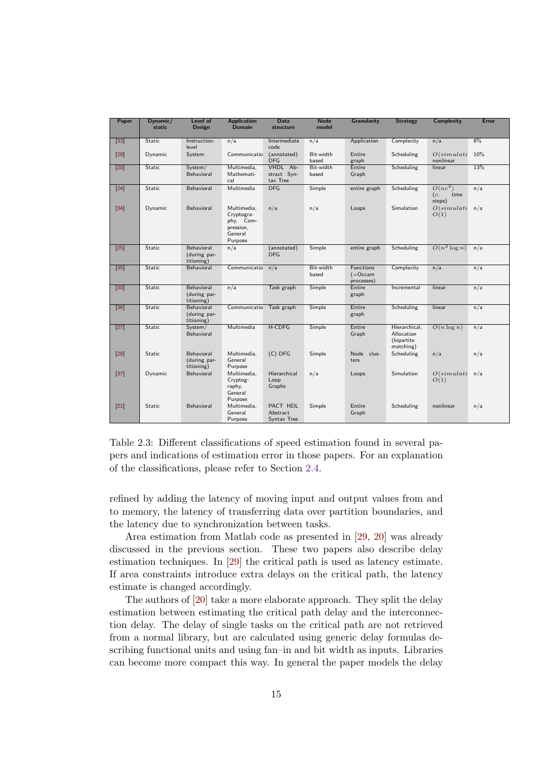| Paper           | Dynamic/<br>static | Level of<br><b>Design</b>                | <b>Application</b><br><b>Domain</b>                                       | <b>Data</b><br>structure                   | <b>Node</b><br>model | <b>Granularity</b>                            | <b>Strategy</b>                                        | <b>Complexity</b>                  | Error |
|-----------------|--------------------|------------------------------------------|---------------------------------------------------------------------------|--------------------------------------------|----------------------|-----------------------------------------------|--------------------------------------------------------|------------------------------------|-------|
| $\boxed{33}$    | Static             | Instruction-<br>level                    | n/a                                                                       | Intermediate<br>code                       | n/a                  | Application                                   | Complexity                                             | n/a                                | 8%    |
| [29]            | Dynamic            | System                                   | Communicatio                                                              | (annotated)<br><b>DFG</b>                  | Bit-width<br>based   | Entire<br>graph                               | Scheduling                                             | O(simulati)<br>nonlinear           | 10%   |
| [20]            | Static             | System/<br>Behavioral                    | Multimedia,<br>Mathemati-<br>cal                                          | VHDL Ab-<br>stract Syn-<br>tax Tree        | Bit-width<br>based   | Entire<br>Graph                               | Scheduling                                             | linear                             | 13%   |
| $[24]$          | Static             | Behavioral                               | Multimedia                                                                | <b>DFG</b>                                 | Simple               | entire graph                                  | Scheduling                                             | $O(nc^2)$<br>(c)<br>time<br>steps) | n/a   |
| $[34]$          | Dynamic            | Behavioral                               | Multimedia,<br>Cryptogra-<br>phy, Com-<br>pression,<br>General<br>Purpose | n/a                                        | n/a                  | Loops                                         | Simulation                                             | O(simulati)<br>O(1)                | n/a   |
| $[25]$          | Static             | Behavioral<br>(during par-<br>titioning) | n/a                                                                       | (annotated)<br><b>DFG</b>                  | Simple               | entire graph                                  | Scheduling                                             | $O(n^2 \log n)$                    | n/a   |
| $\boxed{35}$    | Static             | Behavioral                               | Communicatio                                                              | n/a                                        | Bit-width<br>based   | <b>Functions</b><br>$( =$ Occam<br>processes) | Complexity                                             | n/a                                | n/a   |
| [30]            | Static             | Behavioral<br>(during par-<br>titioning) | n/a                                                                       | Task graph                                 | Simple               | Entire<br>graph                               | Incremental                                            | linear                             | n/a   |
| 36              | Static             | Behavioral<br>(during par-<br>titioning) | Communicatio                                                              | Task graph                                 | Simple               | Entire<br>graph                               | Scheduling                                             | linear                             | n/a   |
| $\overline{27}$ | Static             | System/<br>Behavioral                    | Multimedia                                                                | H-CDFG                                     | Simple               | Entire<br>Graph                               | Hierarchical.<br>Allocation<br>(bipartite<br>matching) | $O(n \log n)$                      | n/a   |
| $\sqrt{28}$     | Static             | Behavioral<br>(during par-<br>titioning) | Multimedia.<br>General<br>Purpose                                         | $(C)$ DFG                                  | Simple               | Node clus-<br>ters                            | Scheduling                                             | n/a                                | n/a   |
| $[37]$          | Dynamic            | Behavioral                               | Multimedia,<br>Cryptog-<br>raphy,<br>General<br>Purpose                   | Hierarchical<br>Loop<br>Graphs             | n/a                  | Loops                                         | Simulation                                             | O(simulati)<br>O(1)                | n/a   |
| $\overline{21}$ | Static             | Behavioral                               | Multimedia.<br>General<br>Purpose                                         | <b>PACT HDL</b><br>Abstract<br>Syntax Tree | Simple               | Entire<br>Graph                               | Scheduling                                             | nonlinear                          | n/a   |

Table 2.3: Different classifications of speed estimation found in several papers and indications of estimation error in those papers. For an explanation of the classifications, please refer to Section 2.4.

refined by adding the latency of moving input and output values from and to memory, the latency of transferring data over partition boundaries, and the latency due to synchronization between tasks.

Area estimation from Matlab code as presented in [29, 20] was already discussed in the previous section. These two papers also describe delay estimation techniques. In [29] the critical path is used as latency estimate. If area constraints introduce extra delays on the critical path, the latency estimate is changed accordingly.

The authors of [20] take a more elaborate approach. They split the delay estimation between estimating the critical path delay and the interconnection delay. The delay of single tasks on the critical path are not retrieved from a normal library, but are calculated using generic delay formulas describing functional units and using fan–in and bit width as inputs. Libraries can become more compact this way. In general the paper models the delay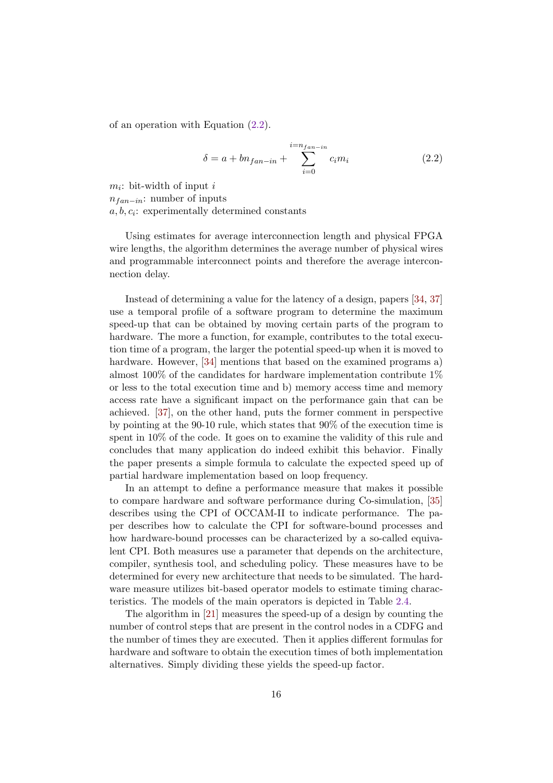of an operation with Equation (2.2).

$$
\delta = a + b n_{fan-in} + \sum_{i=0}^{i=n_{fan-in}} c_i m_i
$$
 (2.2)

 $m_i$ : bit-width of input i

 $n_{fan-in}$ : number of inputs

 $a, b, c_i$ : experimentally determined constants

Using estimates for average interconnection length and physical FPGA wire lengths, the algorithm determines the average number of physical wires and programmable interconnect points and therefore the average interconnection delay.

Instead of determining a value for the latency of a design, papers [34, 37] use a temporal profile of a software program to determine the maximum speed-up that can be obtained by moving certain parts of the program to hardware. The more a function, for example, contributes to the total execution time of a program, the larger the potential speed-up when it is moved to hardware. However, [34] mentions that based on the examined programs a) almost 100% of the candidates for hardware implementation contribute 1% or less to the total execution time and b) memory access time and memory access rate have a significant impact on the performance gain that can be achieved. [37], on the other hand, puts the former comment in perspective by pointing at the 90-10 rule, which states that 90% of the execution time is spent in 10% of the code. It goes on to examine the validity of this rule and concludes that many application do indeed exhibit this behavior. Finally the paper presents a simple formula to calculate the expected speed up of partial hardware implementation based on loop frequency.

In an attempt to define a performance measure that makes it possible to compare hardware and software performance during Co-simulation, [35] describes using the CPI of OCCAM-II to indicate performance. The paper describes how to calculate the CPI for software-bound processes and how hardware-bound processes can be characterized by a so-called equivalent CPI. Both measures use a parameter that depends on the architecture, compiler, synthesis tool, and scheduling policy. These measures have to be determined for every new architecture that needs to be simulated. The hardware measure utilizes bit-based operator models to estimate timing characteristics. The models of the main operators is depicted in Table 2.4.

The algorithm in [21] measures the speed-up of a design by counting the number of control steps that are present in the control nodes in a CDFG and the number of times they are executed. Then it applies different formulas for hardware and software to obtain the execution times of both implementation alternatives. Simply dividing these yields the speed-up factor.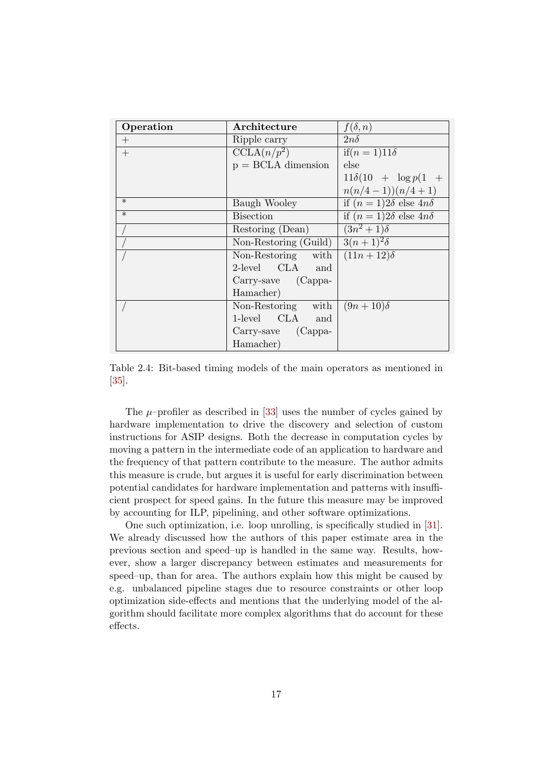| Operation         | Architecture             | $f(\delta,n)$                                |
|-------------------|--------------------------|----------------------------------------------|
| $^{+}$            | Ripple carry             | $2n\delta$                                   |
| $+$               | $CCLA(n/p^2)$            | $if(n = 1)11\delta$                          |
|                   | $p = BCLA$ dimension     | else                                         |
|                   |                          | $11\delta(10 + \log p(1 +$                   |
|                   |                          | $n(n/4-1))(n/4+1)$                           |
| $\ast$            | Baugh Wooley             | if $(n=1)2\delta$ else $\overline{4n\delta}$ |
| $\overline{\ast}$ | <b>Bisection</b>         | if $(n=1)2\delta$ else $4n\delta$            |
|                   | Restoring (Dean)         | $(3n^2+1)\delta$                             |
|                   | Non-Restoring (Guild)    | $3(n+1)^2\delta$                             |
|                   | Non-Restoring with       | $(11n+12)\delta$                             |
|                   | 2-level CLA and          |                                              |
|                   | $Carry$ -save $(Cappa$ - |                                              |
|                   | Hamacher)                |                                              |
|                   | Non-Restoring with       | $(9n+10)\delta$                              |
|                   | 1-level CLA and          |                                              |
|                   | Carry-save (Cappa-       |                                              |
|                   | Hamacher)                |                                              |

Table 2.4: Bit-based timing models of the main operators as mentioned in [35].

The  $\mu$ -profiler as described in [33] uses the number of cycles gained by hardware implementation to drive the discovery and selection of custom instructions for ASIP designs. Both the decrease in computation cycles by moving a pattern in the intermediate code of an application to hardware and the frequency of that pattern contribute to the measure. The author admits this measure is crude, but argues it is useful for early discrimination between potential candidates for hardware implementation and patterns with insufficient prospect for speed gains. In the future this measure may be improved by accounting for ILP, pipelining, and other software optimizations.

One such optimization, i.e. loop unrolling, is specifically studied in [31]. We already discussed how the authors of this paper estimate area in the previous section and speed–up is handled in the same way. Results, however, show a larger discrepancy between estimates and measurements for speed–up, than for area. The authors explain how this might be caused by e.g. unbalanced pipeline stages due to resource constraints or other loop optimization side-effects and mentions that the underlying model of the algorithm should facilitate more complex algorithms that do account for these effects.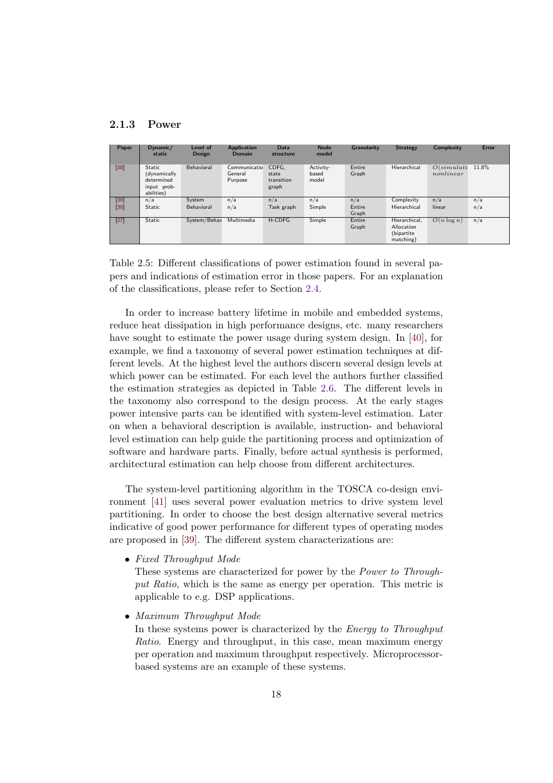#### 2.1.3 Power

| Paper             | $D$ ynamic/<br>static                                             | Level of<br><b>Design</b> | <b>Application</b><br>Domain       | Data<br>structure                     | <b>Node</b><br>model        | Granularity     | <b>Strategy</b>                                        | <b>Complexity</b>           | Error |
|-------------------|-------------------------------------------------------------------|---------------------------|------------------------------------|---------------------------------------|-----------------------------|-----------------|--------------------------------------------------------|-----------------------------|-------|
| $[38]$            | Static<br>(dynamically<br>determined<br>input prob-<br>abilities) | Behavioral                | Communicatio<br>General<br>Purpose | CDFG.<br>state<br>transition<br>graph | Activity-<br>based<br>model | Entire<br>Graph | Hierarchical                                           | $O(\nsimulti)$<br>nonlinear | 11.8% |
| $[39]$            | n/a                                                               | System                    | n/a                                | n/a                                   | n/a                         | n/a             | Complexity                                             | n/a                         | n/a   |
| $\left[30\right]$ | Static                                                            | Behavioral                | n/a                                | Task graph                            | Simple                      | Entire<br>Graph | Hierarchical                                           | linear                      | n/a   |
| $[27]$            | Static                                                            | System/Behav              | Multimedia                         | H-CDFG                                | Simple                      | Entire<br>Graph | Hierarchical.<br>Allocation<br>(bipartite<br>matching) | $O(n \log n)$               | n/a   |

Table 2.5: Different classifications of power estimation found in several papers and indications of estimation error in those papers. For an explanation of the classifications, please refer to Section 2.4.

In order to increase battery lifetime in mobile and embedded systems, reduce heat dissipation in high performance designs, etc. many researchers have sought to estimate the power usage during system design. In [40], for example, we find a taxonomy of several power estimation techniques at different levels. At the highest level the authors discern several design levels at which power can be estimated. For each level the authors further classified the estimation strategies as depicted in Table 2.6. The different levels in the taxonomy also correspond to the design process. At the early stages power intensive parts can be identified with system-level estimation. Later on when a behavioral description is available, instruction- and behavioral level estimation can help guide the partitioning process and optimization of software and hardware parts. Finally, before actual synthesis is performed, architectural estimation can help choose from different architectures.

The system-level partitioning algorithm in the TOSCA co-design environment [41] uses several power evaluation metrics to drive system level partitioning. In order to choose the best design alternative several metrics indicative of good power performance for different types of operating modes are proposed in [39]. The different system characterizations are:

• Fixed Throughput Mode

These systems are characterized for power by the Power to Throughput Ratio, which is the same as energy per operation. This metric is applicable to e.g. DSP applications.

• Maximum Throughput Mode

In these systems power is characterized by the Energy to Throughput Ratio. Energy and throughput, in this case, mean maximum energy per operation and maximum throughput respectively. Microprocessorbased systems are an example of these systems.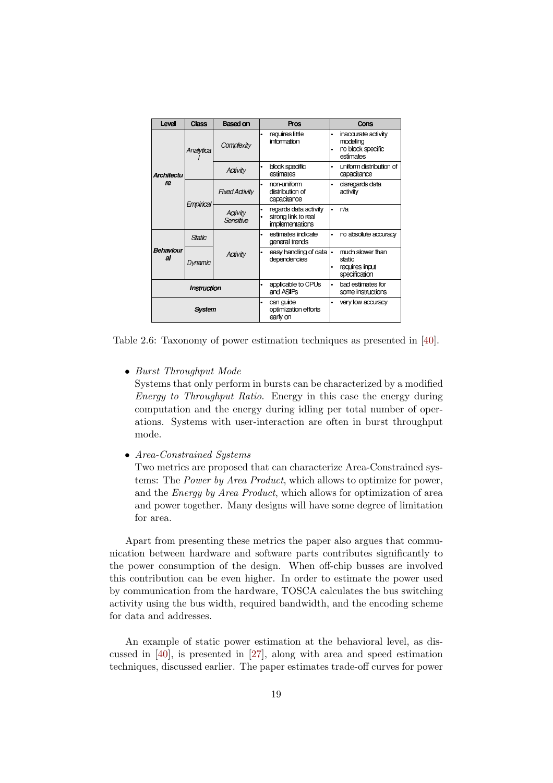| Level              | Class     | <b>Based on</b>       | Pros                                                            | Cons                                                                           |
|--------------------|-----------|-----------------------|-----------------------------------------------------------------|--------------------------------------------------------------------------------|
|                    | Analytica | Complexity            | requires little<br>information                                  | inaccurate activity<br>modeling<br>no block specific<br>$\bullet$<br>estimates |
| <b>Architectu</b>  |           | Activity              | block specific<br>estimates                                     | uniform distribution of<br>capacitance                                         |
| re                 | Empirical | <b>Fixed Activity</b> | non-uniform<br>$\bullet$<br>distribution of<br>capacitance      | disregards data<br>۰<br>act v ty                                               |
|                    |           | Activity<br>Sensitive | regards data activity<br>strong link to real<br>implementations | n/a<br>$\bullet$                                                               |
|                    | Static    |                       | estimates indicate<br>$\bullet$<br>general trends               | no absolute accuracy<br>۰                                                      |
| Behaviour<br>al    | Dynamic   | Activity              | easy handling of data<br>dependencies                           | much slower than<br>I۰<br>static<br>requires input<br>٠<br>specification       |
| <b>Instruction</b> |           |                       | applicable to CPUs<br>and ASIPs                                 | bad estimates for<br>$\bullet$<br>some instructions                            |
| Svstem             |           |                       | can guide<br>٠<br>optimization efforts<br>early on              | very low accuracy                                                              |

Table 2.6: Taxonomy of power estimation techniques as presented in [40].

• Burst Throughput Mode

Systems that only perform in bursts can be characterized by a modified Energy to Throughput Ratio. Energy in this case the energy during computation and the energy during idling per total number of operations. Systems with user-interaction are often in burst throughput mode.

• Area-Constrained Systems

Two metrics are proposed that can characterize Area-Constrained systems: The Power by Area Product, which allows to optimize for power, and the Energy by Area Product, which allows for optimization of area and power together. Many designs will have some degree of limitation for area.

Apart from presenting these metrics the paper also argues that communication between hardware and software parts contributes significantly to the power consumption of the design. When off-chip busses are involved this contribution can be even higher. In order to estimate the power used by communication from the hardware, TOSCA calculates the bus switching activity using the bus width, required bandwidth, and the encoding scheme for data and addresses.

An example of static power estimation at the behavioral level, as discussed in [40], is presented in [27], along with area and speed estimation techniques, discussed earlier. The paper estimates trade-off curves for power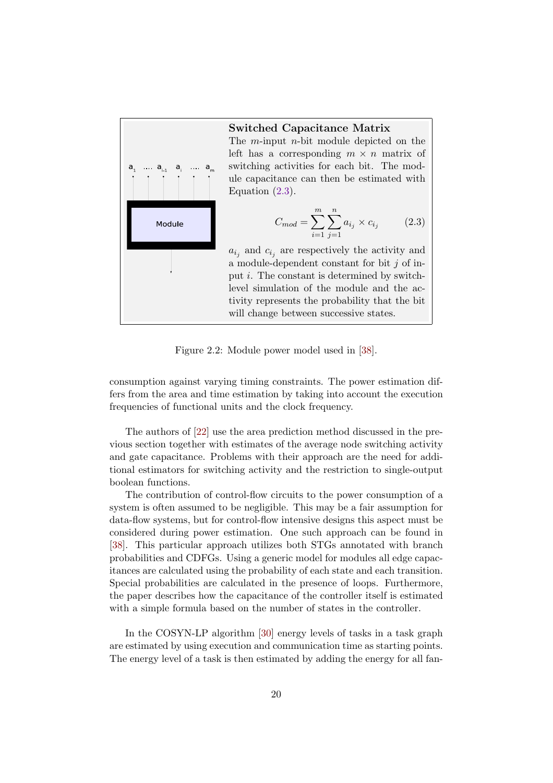

#### Switched Capacitance Matrix

The m-input n-bit module depicted on the left has a corresponding  $m \times n$  matrix of switching activities for each bit. The module capacitance can then be estimated with Equation  $(2.3)$ .

$$
C_{mod} = \sum_{i=1}^{m} \sum_{j=1}^{n} a_{i_j} \times c_{i_j}
$$
 (2.3)

 $a_{i_j}$  and  $c_{i_j}$  are respectively the activity and a module-dependent constant for bit  $j$  of input i. The constant is determined by switchlevel simulation of the module and the activity represents the probability that the bit will change between successive states.

Figure 2.2: Module power model used in [38].

consumption against varying timing constraints. The power estimation differs from the area and time estimation by taking into account the execution frequencies of functional units and the clock frequency.

The authors of [22] use the area prediction method discussed in the previous section together with estimates of the average node switching activity and gate capacitance. Problems with their approach are the need for additional estimators for switching activity and the restriction to single-output boolean functions.

The contribution of control-flow circuits to the power consumption of a system is often assumed to be negligible. This may be a fair assumption for data-flow systems, but for control-flow intensive designs this aspect must be considered during power estimation. One such approach can be found in [38]. This particular approach utilizes both STGs annotated with branch probabilities and CDFGs. Using a generic model for modules all edge capacitances are calculated using the probability of each state and each transition. Special probabilities are calculated in the presence of loops. Furthermore, the paper describes how the capacitance of the controller itself is estimated with a simple formula based on the number of states in the controller.

In the COSYN-LP algorithm [30] energy levels of tasks in a task graph are estimated by using execution and communication time as starting points. The energy level of a task is then estimated by adding the energy for all fan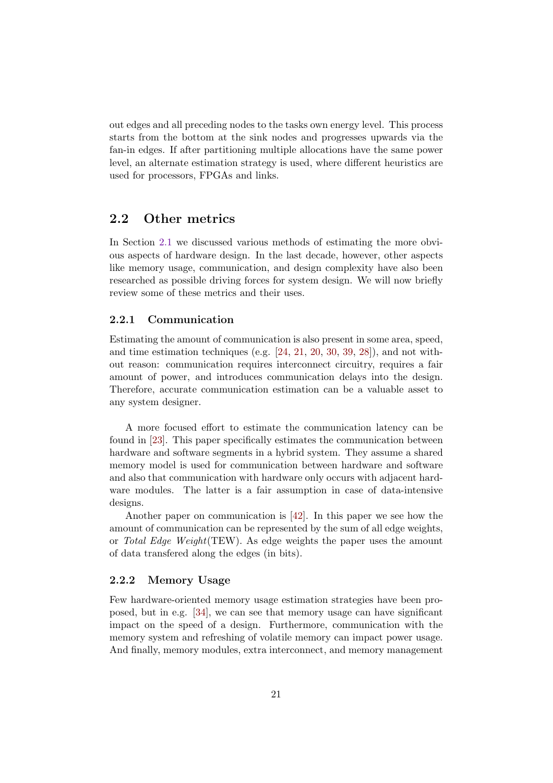out edges and all preceding nodes to the tasks own energy level. This process starts from the bottom at the sink nodes and progresses upwards via the fan-in edges. If after partitioning multiple allocations have the same power level, an alternate estimation strategy is used, where different heuristics are used for processors, FPGAs and links.

#### 2.2 Other metrics

In Section 2.1 we discussed various methods of estimating the more obvious aspects of hardware design. In the last decade, however, other aspects like memory usage, communication, and design complexity have also been researched as possible driving forces for system design. We will now briefly review some of these metrics and their uses.

#### 2.2.1 Communication

Estimating the amount of communication is also present in some area, speed, and time estimation techniques (e.g.  $[24, 21, 20, 30, 39, 28]$ ), and not without reason: communication requires interconnect circuitry, requires a fair amount of power, and introduces communication delays into the design. Therefore, accurate communication estimation can be a valuable asset to any system designer.

A more focused effort to estimate the communication latency can be found in [23]. This paper specifically estimates the communication between hardware and software segments in a hybrid system. They assume a shared memory model is used for communication between hardware and software and also that communication with hardware only occurs with adjacent hardware modules. The latter is a fair assumption in case of data-intensive designs.

Another paper on communication is [42]. In this paper we see how the amount of communication can be represented by the sum of all edge weights, or Total Edge Weight(TEW). As edge weights the paper uses the amount of data transfered along the edges (in bits).

#### 2.2.2 Memory Usage

Few hardware-oriented memory usage estimation strategies have been proposed, but in e.g. [34], we can see that memory usage can have significant impact on the speed of a design. Furthermore, communication with the memory system and refreshing of volatile memory can impact power usage. And finally, memory modules, extra interconnect, and memory management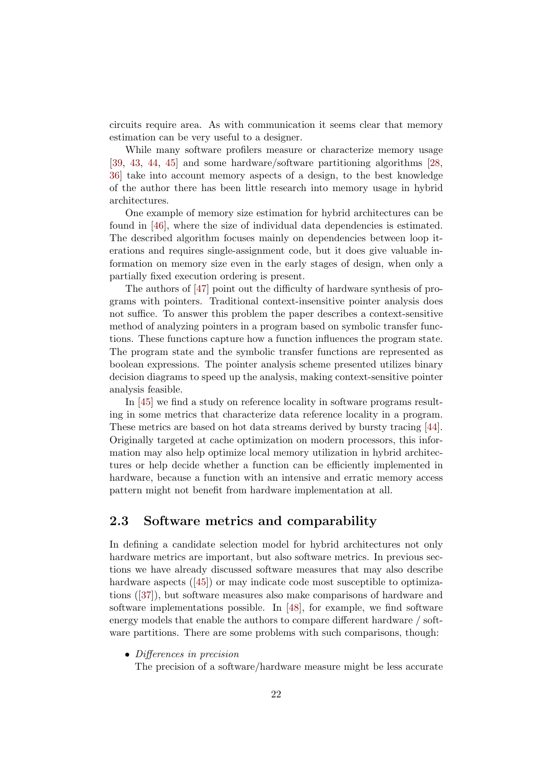circuits require area. As with communication it seems clear that memory estimation can be very useful to a designer.

While many software profilers measure or characterize memory usage [39, 43, 44, 45] and some hardware/software partitioning algorithms [28, 36] take into account memory aspects of a design, to the best knowledge of the author there has been little research into memory usage in hybrid architectures.

One example of memory size estimation for hybrid architectures can be found in [46], where the size of individual data dependencies is estimated. The described algorithm focuses mainly on dependencies between loop iterations and requires single-assignment code, but it does give valuable information on memory size even in the early stages of design, when only a partially fixed execution ordering is present.

The authors of [47] point out the difficulty of hardware synthesis of programs with pointers. Traditional context-insensitive pointer analysis does not suffice. To answer this problem the paper describes a context-sensitive method of analyzing pointers in a program based on symbolic transfer functions. These functions capture how a function influences the program state. The program state and the symbolic transfer functions are represented as boolean expressions. The pointer analysis scheme presented utilizes binary decision diagrams to speed up the analysis, making context-sensitive pointer analysis feasible.

In [45] we find a study on reference locality in software programs resulting in some metrics that characterize data reference locality in a program. These metrics are based on hot data streams derived by bursty tracing [44]. Originally targeted at cache optimization on modern processors, this information may also help optimize local memory utilization in hybrid architectures or help decide whether a function can be efficiently implemented in hardware, because a function with an intensive and erratic memory access pattern might not benefit from hardware implementation at all.

#### 2.3 Software metrics and comparability

In defining a candidate selection model for hybrid architectures not only hardware metrics are important, but also software metrics. In previous sections we have already discussed software measures that may also describe hardware aspects ([45]) or may indicate code most susceptible to optimizations ([37]), but software measures also make comparisons of hardware and software implementations possible. In [48], for example, we find software energy models that enable the authors to compare different hardware / software partitions. There are some problems with such comparisons, though:

• Differences in precision

The precision of a software/hardware measure might be less accurate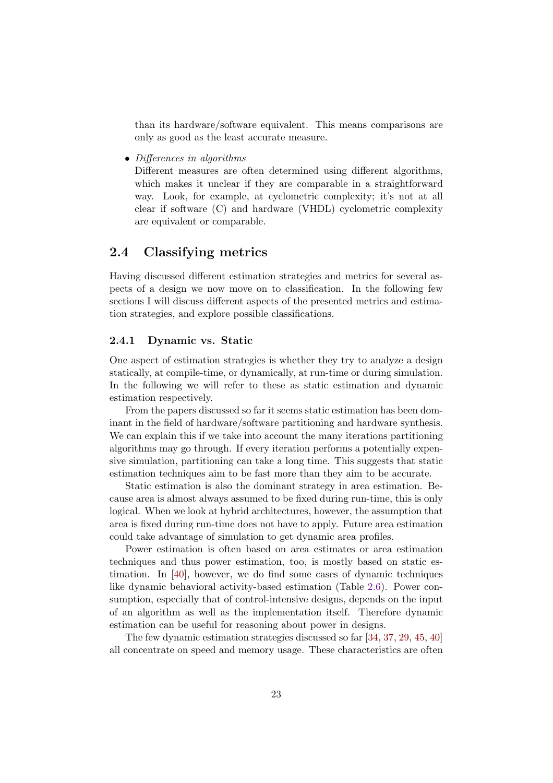than its hardware/software equivalent. This means comparisons are only as good as the least accurate measure.

• Differences in algorithms

Different measures are often determined using different algorithms, which makes it unclear if they are comparable in a straightforward way. Look, for example, at cyclometric complexity; it's not at all clear if software (C) and hardware (VHDL) cyclometric complexity are equivalent or comparable.

#### 2.4 Classifying metrics

Having discussed different estimation strategies and metrics for several aspects of a design we now move on to classification. In the following few sections I will discuss different aspects of the presented metrics and estimation strategies, and explore possible classifications.

#### 2.4.1 Dynamic vs. Static

One aspect of estimation strategies is whether they try to analyze a design statically, at compile-time, or dynamically, at run-time or during simulation. In the following we will refer to these as static estimation and dynamic estimation respectively.

From the papers discussed so far it seems static estimation has been dominant in the field of hardware/software partitioning and hardware synthesis. We can explain this if we take into account the many iterations partitioning algorithms may go through. If every iteration performs a potentially expensive simulation, partitioning can take a long time. This suggests that static estimation techniques aim to be fast more than they aim to be accurate.

Static estimation is also the dominant strategy in area estimation. Because area is almost always assumed to be fixed during run-time, this is only logical. When we look at hybrid architectures, however, the assumption that area is fixed during run-time does not have to apply. Future area estimation could take advantage of simulation to get dynamic area profiles.

Power estimation is often based on area estimates or area estimation techniques and thus power estimation, too, is mostly based on static estimation. In [40], however, we do find some cases of dynamic techniques like dynamic behavioral activity-based estimation (Table 2.6). Power consumption, especially that of control-intensive designs, depends on the input of an algorithm as well as the implementation itself. Therefore dynamic estimation can be useful for reasoning about power in designs.

The few dynamic estimation strategies discussed so far [34, 37, 29, 45, 40] all concentrate on speed and memory usage. These characteristics are often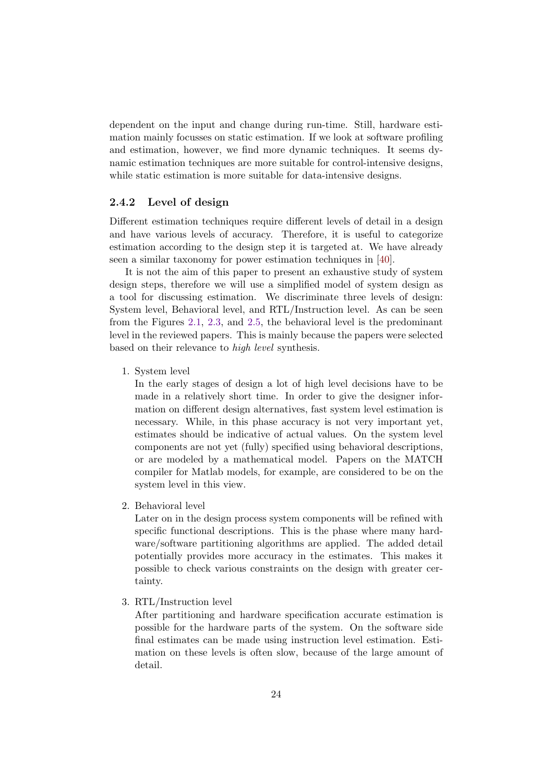dependent on the input and change during run-time. Still, hardware estimation mainly focusses on static estimation. If we look at software profiling and estimation, however, we find more dynamic techniques. It seems dynamic estimation techniques are more suitable for control-intensive designs, while static estimation is more suitable for data-intensive designs.

#### 2.4.2 Level of design

Different estimation techniques require different levels of detail in a design and have various levels of accuracy. Therefore, it is useful to categorize estimation according to the design step it is targeted at. We have already seen a similar taxonomy for power estimation techniques in [40].

It is not the aim of this paper to present an exhaustive study of system design steps, therefore we will use a simplified model of system design as a tool for discussing estimation. We discriminate three levels of design: System level, Behavioral level, and RTL/Instruction level. As can be seen from the Figures 2.1, 2.3, and 2.5, the behavioral level is the predominant level in the reviewed papers. This is mainly because the papers were selected based on their relevance to high level synthesis.

1. System level

In the early stages of design a lot of high level decisions have to be made in a relatively short time. In order to give the designer information on different design alternatives, fast system level estimation is necessary. While, in this phase accuracy is not very important yet, estimates should be indicative of actual values. On the system level components are not yet (fully) specified using behavioral descriptions, or are modeled by a mathematical model. Papers on the MATCH compiler for Matlab models, for example, are considered to be on the system level in this view.

2. Behavioral level

Later on in the design process system components will be refined with specific functional descriptions. This is the phase where many hardware/software partitioning algorithms are applied. The added detail potentially provides more accuracy in the estimates. This makes it possible to check various constraints on the design with greater certainty.

3. RTL/Instruction level

After partitioning and hardware specification accurate estimation is possible for the hardware parts of the system. On the software side final estimates can be made using instruction level estimation. Estimation on these levels is often slow, because of the large amount of detail.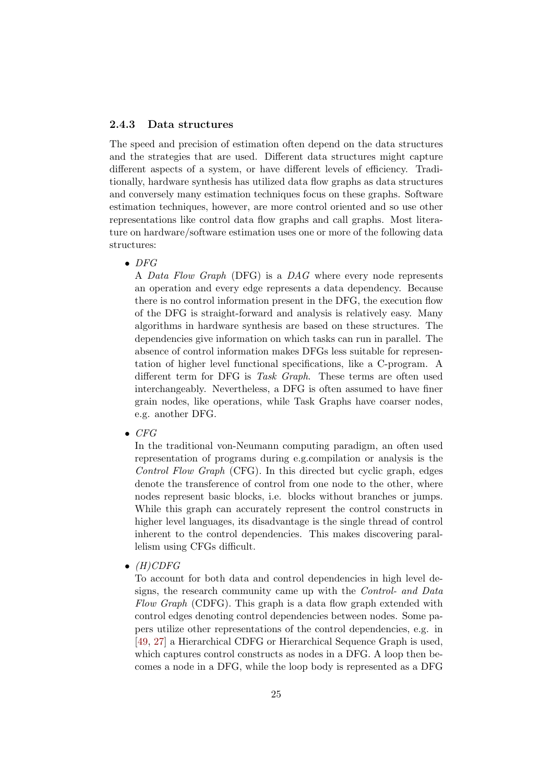#### 2.4.3 Data structures

The speed and precision of estimation often depend on the data structures and the strategies that are used. Different data structures might capture different aspects of a system, or have different levels of efficiency. Traditionally, hardware synthesis has utilized data flow graphs as data structures and conversely many estimation techniques focus on these graphs. Software estimation techniques, however, are more control oriented and so use other representations like control data flow graphs and call graphs. Most literature on hardware/software estimation uses one or more of the following data structures:

 $\bullet$  DFG

A Data Flow Graph (DFG) is a DAG where every node represents an operation and every edge represents a data dependency. Because there is no control information present in the DFG, the execution flow of the DFG is straight-forward and analysis is relatively easy. Many algorithms in hardware synthesis are based on these structures. The dependencies give information on which tasks can run in parallel. The absence of control information makes DFGs less suitable for representation of higher level functional specifications, like a C-program. A different term for DFG is Task Graph. These terms are often used interchangeably. Nevertheless, a DFG is often assumed to have finer grain nodes, like operations, while Task Graphs have coarser nodes, e.g. another DFG.

 $\bullet$  CFG

In the traditional von-Neumann computing paradigm, an often used representation of programs during e.g.compilation or analysis is the Control Flow Graph (CFG). In this directed but cyclic graph, edges denote the transference of control from one node to the other, where nodes represent basic blocks, i.e. blocks without branches or jumps. While this graph can accurately represent the control constructs in higher level languages, its disadvantage is the single thread of control inherent to the control dependencies. This makes discovering parallelism using CFGs difficult.

 $\bullet$  (H)CDFG

To account for both data and control dependencies in high level designs, the research community came up with the Control- and Data Flow Graph (CDFG). This graph is a data flow graph extended with control edges denoting control dependencies between nodes. Some papers utilize other representations of the control dependencies, e.g. in [49, 27] a Hierarchical CDFG or Hierarchical Sequence Graph is used, which captures control constructs as nodes in a DFG. A loop then becomes a node in a DFG, while the loop body is represented as a DFG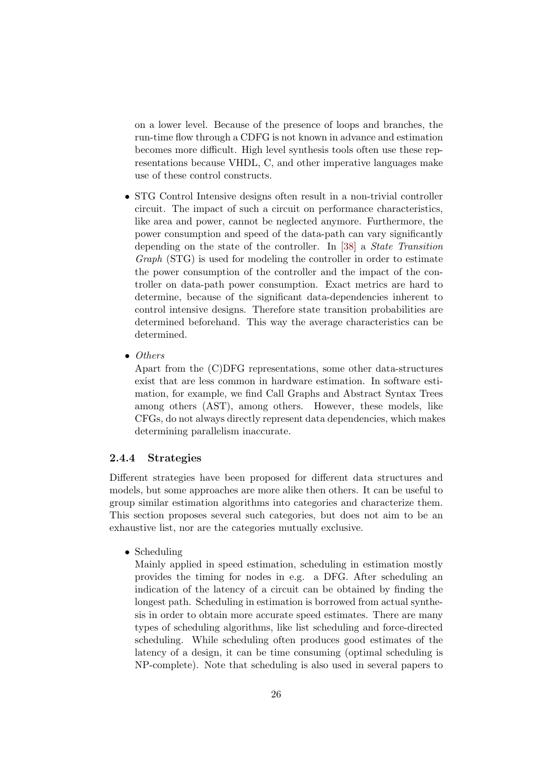on a lower level. Because of the presence of loops and branches, the run-time flow through a CDFG is not known in advance and estimation becomes more difficult. High level synthesis tools often use these representations because VHDL, C, and other imperative languages make use of these control constructs.

- STG Control Intensive designs often result in a non-trivial controller circuit. The impact of such a circuit on performance characteristics, like area and power, cannot be neglected anymore. Furthermore, the power consumption and speed of the data-path can vary significantly depending on the state of the controller. In [38] a State Transition Graph (STG) is used for modeling the controller in order to estimate the power consumption of the controller and the impact of the controller on data-path power consumption. Exact metrics are hard to determine, because of the significant data-dependencies inherent to control intensive designs. Therefore state transition probabilities are determined beforehand. This way the average characteristics can be determined.
- Others

Apart from the (C)DFG representations, some other data-structures exist that are less common in hardware estimation. In software estimation, for example, we find Call Graphs and Abstract Syntax Trees among others (AST), among others. However, these models, like CFGs, do not always directly represent data dependencies, which makes determining parallelism inaccurate.

#### 2.4.4 Strategies

Different strategies have been proposed for different data structures and models, but some approaches are more alike then others. It can be useful to group similar estimation algorithms into categories and characterize them. This section proposes several such categories, but does not aim to be an exhaustive list, nor are the categories mutually exclusive.

• Scheduling

Mainly applied in speed estimation, scheduling in estimation mostly provides the timing for nodes in e.g. a DFG. After scheduling an indication of the latency of a circuit can be obtained by finding the longest path. Scheduling in estimation is borrowed from actual synthesis in order to obtain more accurate speed estimates. There are many types of scheduling algorithms, like list scheduling and force-directed scheduling. While scheduling often produces good estimates of the latency of a design, it can be time consuming (optimal scheduling is NP-complete). Note that scheduling is also used in several papers to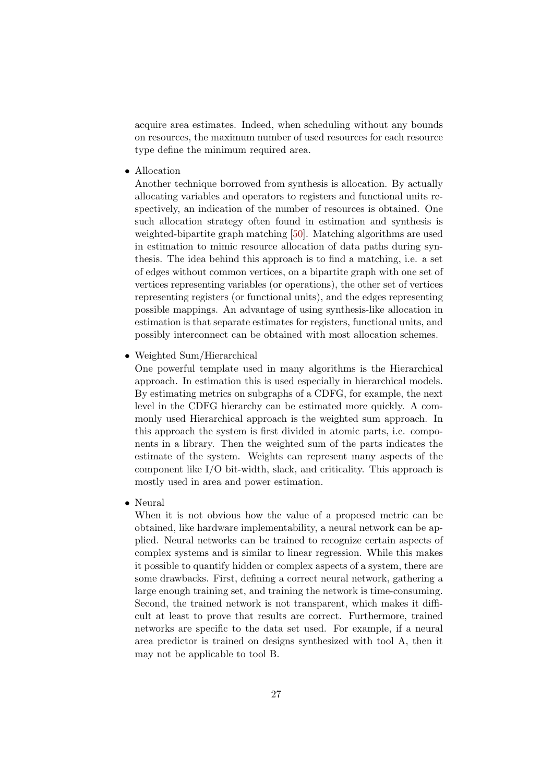acquire area estimates. Indeed, when scheduling without any bounds on resources, the maximum number of used resources for each resource type define the minimum required area.

• Allocation

Another technique borrowed from synthesis is allocation. By actually allocating variables and operators to registers and functional units respectively, an indication of the number of resources is obtained. One such allocation strategy often found in estimation and synthesis is weighted-bipartite graph matching [50]. Matching algorithms are used in estimation to mimic resource allocation of data paths during synthesis. The idea behind this approach is to find a matching, i.e. a set of edges without common vertices, on a bipartite graph with one set of vertices representing variables (or operations), the other set of vertices representing registers (or functional units), and the edges representing possible mappings. An advantage of using synthesis-like allocation in estimation is that separate estimates for registers, functional units, and possibly interconnect can be obtained with most allocation schemes.

• Weighted Sum/Hierarchical

One powerful template used in many algorithms is the Hierarchical approach. In estimation this is used especially in hierarchical models. By estimating metrics on subgraphs of a CDFG, for example, the next level in the CDFG hierarchy can be estimated more quickly. A commonly used Hierarchical approach is the weighted sum approach. In this approach the system is first divided in atomic parts, i.e. components in a library. Then the weighted sum of the parts indicates the estimate of the system. Weights can represent many aspects of the component like I/O bit-width, slack, and criticality. This approach is mostly used in area and power estimation.

• Neural

When it is not obvious how the value of a proposed metric can be obtained, like hardware implementability, a neural network can be applied. Neural networks can be trained to recognize certain aspects of complex systems and is similar to linear regression. While this makes it possible to quantify hidden or complex aspects of a system, there are some drawbacks. First, defining a correct neural network, gathering a large enough training set, and training the network is time-consuming. Second, the trained network is not transparent, which makes it difficult at least to prove that results are correct. Furthermore, trained networks are specific to the data set used. For example, if a neural area predictor is trained on designs synthesized with tool A, then it may not be applicable to tool B.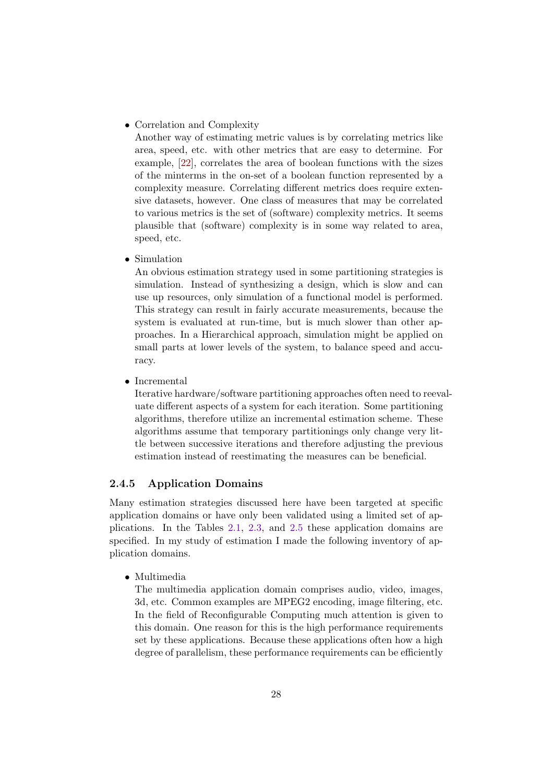• Correlation and Complexity

Another way of estimating metric values is by correlating metrics like area, speed, etc. with other metrics that are easy to determine. For example, [22], correlates the area of boolean functions with the sizes of the minterms in the on-set of a boolean function represented by a complexity measure. Correlating different metrics does require extensive datasets, however. One class of measures that may be correlated to various metrics is the set of (software) complexity metrics. It seems plausible that (software) complexity is in some way related to area, speed, etc.

• Simulation

An obvious estimation strategy used in some partitioning strategies is simulation. Instead of synthesizing a design, which is slow and can use up resources, only simulation of a functional model is performed. This strategy can result in fairly accurate measurements, because the system is evaluated at run-time, but is much slower than other approaches. In a Hierarchical approach, simulation might be applied on small parts at lower levels of the system, to balance speed and accuracy.

• Incremental

Iterative hardware/software partitioning approaches often need to reevaluate different aspects of a system for each iteration. Some partitioning algorithms, therefore utilize an incremental estimation scheme. These algorithms assume that temporary partitionings only change very little between successive iterations and therefore adjusting the previous estimation instead of reestimating the measures can be beneficial.

#### 2.4.5 Application Domains

Many estimation strategies discussed here have been targeted at specific application domains or have only been validated using a limited set of applications. In the Tables 2.1, 2.3, and 2.5 these application domains are specified. In my study of estimation I made the following inventory of application domains.

• Multimedia

The multimedia application domain comprises audio, video, images, 3d, etc. Common examples are MPEG2 encoding, image filtering, etc. In the field of Reconfigurable Computing much attention is given to this domain. One reason for this is the high performance requirements set by these applications. Because these applications often how a high degree of parallelism, these performance requirements can be efficiently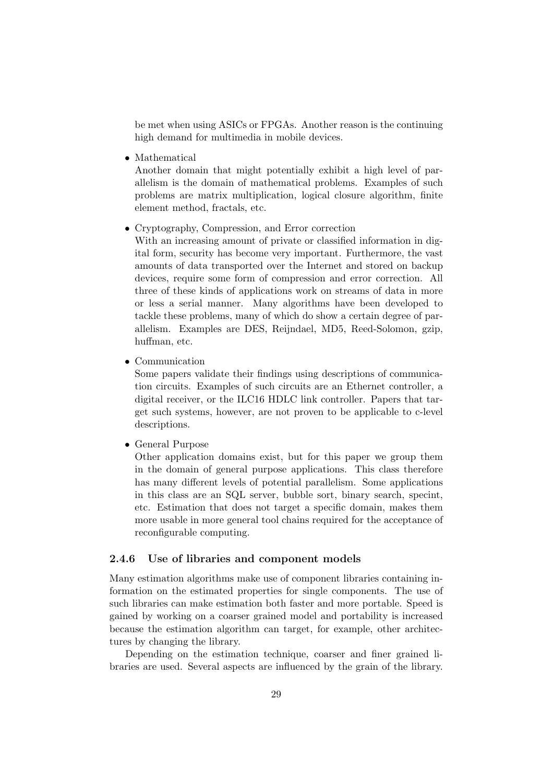be met when using ASICs or FPGAs. Another reason is the continuing high demand for multimedia in mobile devices.

• Mathematical

Another domain that might potentially exhibit a high level of parallelism is the domain of mathematical problems. Examples of such problems are matrix multiplication, logical closure algorithm, finite element method, fractals, etc.

• Cryptography, Compression, and Error correction

With an increasing amount of private or classified information in digital form, security has become very important. Furthermore, the vast amounts of data transported over the Internet and stored on backup devices, require some form of compression and error correction. All three of these kinds of applications work on streams of data in more or less a serial manner. Many algorithms have been developed to tackle these problems, many of which do show a certain degree of parallelism. Examples are DES, Reijndael, MD5, Reed-Solomon, gzip, huffman, etc.

• Communication

Some papers validate their findings using descriptions of communication circuits. Examples of such circuits are an Ethernet controller, a digital receiver, or the ILC16 HDLC link controller. Papers that target such systems, however, are not proven to be applicable to c-level descriptions.

• General Purpose

Other application domains exist, but for this paper we group them in the domain of general purpose applications. This class therefore has many different levels of potential parallelism. Some applications in this class are an SQL server, bubble sort, binary search, specint, etc. Estimation that does not target a specific domain, makes them more usable in more general tool chains required for the acceptance of reconfigurable computing.

#### 2.4.6 Use of libraries and component models

Many estimation algorithms make use of component libraries containing information on the estimated properties for single components. The use of such libraries can make estimation both faster and more portable. Speed is gained by working on a coarser grained model and portability is increased because the estimation algorithm can target, for example, other architectures by changing the library.

Depending on the estimation technique, coarser and finer grained libraries are used. Several aspects are influenced by the grain of the library.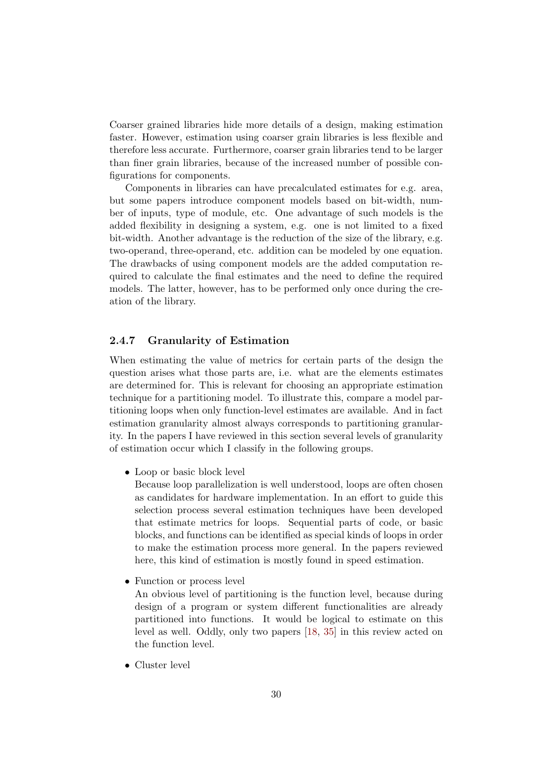Coarser grained libraries hide more details of a design, making estimation faster. However, estimation using coarser grain libraries is less flexible and therefore less accurate. Furthermore, coarser grain libraries tend to be larger than finer grain libraries, because of the increased number of possible configurations for components.

Components in libraries can have precalculated estimates for e.g. area, but some papers introduce component models based on bit-width, number of inputs, type of module, etc. One advantage of such models is the added flexibility in designing a system, e.g. one is not limited to a fixed bit-width. Another advantage is the reduction of the size of the library, e.g. two-operand, three-operand, etc. addition can be modeled by one equation. The drawbacks of using component models are the added computation required to calculate the final estimates and the need to define the required models. The latter, however, has to be performed only once during the creation of the library.

#### 2.4.7 Granularity of Estimation

When estimating the value of metrics for certain parts of the design the question arises what those parts are, i.e. what are the elements estimates are determined for. This is relevant for choosing an appropriate estimation technique for a partitioning model. To illustrate this, compare a model partitioning loops when only function-level estimates are available. And in fact estimation granularity almost always corresponds to partitioning granularity. In the papers I have reviewed in this section several levels of granularity of estimation occur which I classify in the following groups.

• Loop or basic block level

Because loop parallelization is well understood, loops are often chosen as candidates for hardware implementation. In an effort to guide this selection process several estimation techniques have been developed that estimate metrics for loops. Sequential parts of code, or basic blocks, and functions can be identified as special kinds of loops in order to make the estimation process more general. In the papers reviewed here, this kind of estimation is mostly found in speed estimation.

• Function or process level

An obvious level of partitioning is the function level, because during design of a program or system different functionalities are already partitioned into functions. It would be logical to estimate on this level as well. Oddly, only two papers [18, 35] in this review acted on the function level.

• Cluster level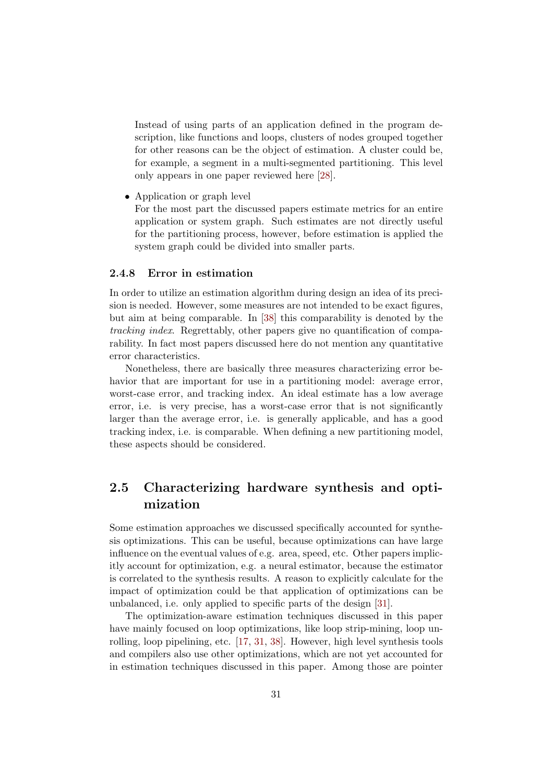Instead of using parts of an application defined in the program description, like functions and loops, clusters of nodes grouped together for other reasons can be the object of estimation. A cluster could be, for example, a segment in a multi-segmented partitioning. This level only appears in one paper reviewed here [28].

• Application or graph level

For the most part the discussed papers estimate metrics for an entire application or system graph. Such estimates are not directly useful for the partitioning process, however, before estimation is applied the system graph could be divided into smaller parts.

#### 2.4.8 Error in estimation

In order to utilize an estimation algorithm during design an idea of its precision is needed. However, some measures are not intended to be exact figures, but aim at being comparable. In [38] this comparability is denoted by the tracking index. Regrettably, other papers give no quantification of comparability. In fact most papers discussed here do not mention any quantitative error characteristics.

Nonetheless, there are basically three measures characterizing error behavior that are important for use in a partitioning model: average error, worst-case error, and tracking index. An ideal estimate has a low average error, i.e. is very precise, has a worst-case error that is not significantly larger than the average error, i.e. is generally applicable, and has a good tracking index, i.e. is comparable. When defining a new partitioning model, these aspects should be considered.

#### 2.5 Characterizing hardware synthesis and optimization

Some estimation approaches we discussed specifically accounted for synthesis optimizations. This can be useful, because optimizations can have large influence on the eventual values of e.g. area, speed, etc. Other papers implicitly account for optimization, e.g. a neural estimator, because the estimator is correlated to the synthesis results. A reason to explicitly calculate for the impact of optimization could be that application of optimizations can be unbalanced, i.e. only applied to specific parts of the design [31].

The optimization-aware estimation techniques discussed in this paper have mainly focused on loop optimizations, like loop strip-mining, loop unrolling, loop pipelining, etc. [17, 31, 38]. However, high level synthesis tools and compilers also use other optimizations, which are not yet accounted for in estimation techniques discussed in this paper. Among those are pointer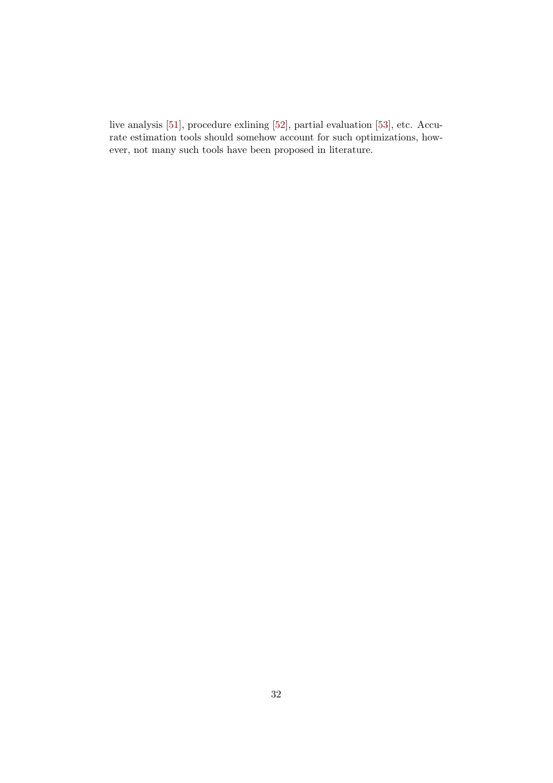live analysis [51], procedure exlining [52], partial evaluation [53], etc. Accurate estimation tools should somehow account for such optimizations, however, not many such tools have been proposed in literature.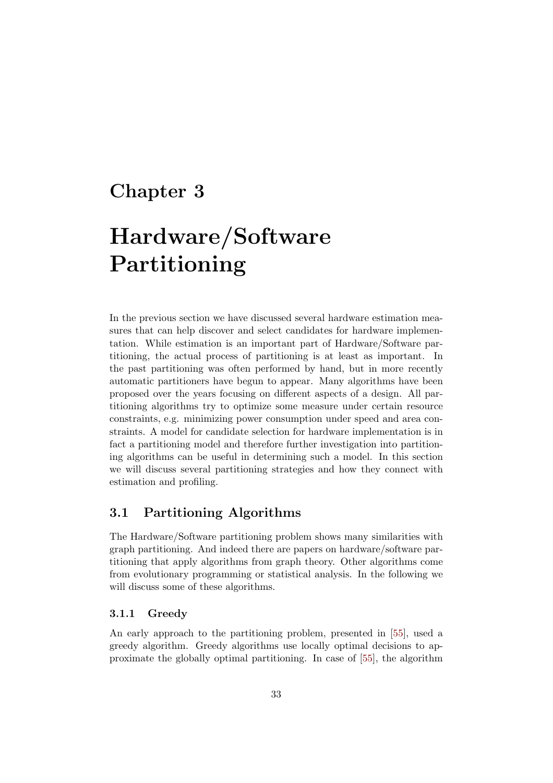### Chapter 3

# Hardware/Software Partitioning

In the previous section we have discussed several hardware estimation measures that can help discover and select candidates for hardware implementation. While estimation is an important part of Hardware/Software partitioning, the actual process of partitioning is at least as important. In the past partitioning was often performed by hand, but in more recently automatic partitioners have begun to appear. Many algorithms have been proposed over the years focusing on different aspects of a design. All partitioning algorithms try to optimize some measure under certain resource constraints, e.g. minimizing power consumption under speed and area constraints. A model for candidate selection for hardware implementation is in fact a partitioning model and therefore further investigation into partitioning algorithms can be useful in determining such a model. In this section we will discuss several partitioning strategies and how they connect with estimation and profiling.

#### 3.1 Partitioning Algorithms

The Hardware/Software partitioning problem shows many similarities with graph partitioning. And indeed there are papers on hardware/software partitioning that apply algorithms from graph theory. Other algorithms come from evolutionary programming or statistical analysis. In the following we will discuss some of these algorithms.

#### 3.1.1 Greedy

An early approach to the partitioning problem, presented in [55], used a greedy algorithm. Greedy algorithms use locally optimal decisions to approximate the globally optimal partitioning. In case of [55], the algorithm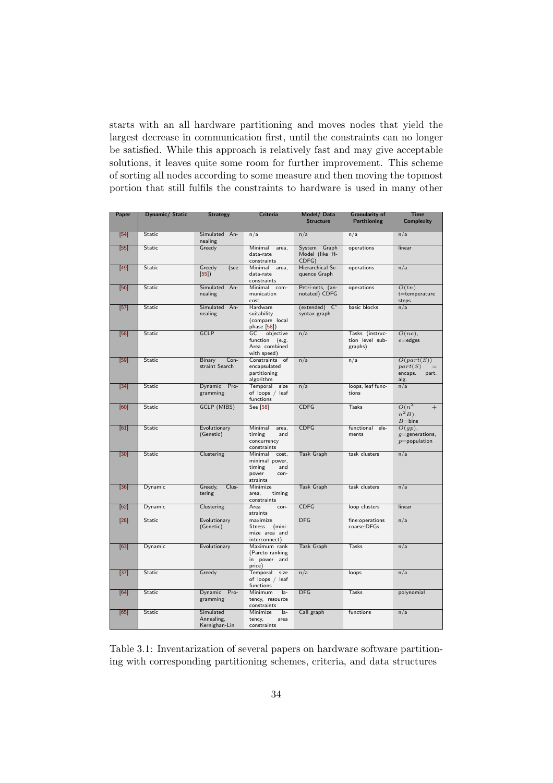starts with an all hardware partitioning and moves nodes that yield the largest decrease in communication first, until the constraints can no longer be satisfied. While this approach is relatively fast and may give acceptable solutions, it leaves quite some room for further improvement. This scheme of sorting all nodes according to some measure and then moving the topmost portion that still fulfils the constraints to hardware is used in many other

| Paper           | Dynamic/ Static | <b>Strategy</b>                          | Criteria                                                                         | Model/Data<br><b>Structure</b>          | <b>Granularity of</b><br><b>Partitioning</b>  | <b>Time</b><br><b>Complexity</b>                                |
|-----------------|-----------------|------------------------------------------|----------------------------------------------------------------------------------|-----------------------------------------|-----------------------------------------------|-----------------------------------------------------------------|
| $[54]$          | Static          | Simulated An-<br>nealing                 | n/a                                                                              | n/a                                     | n/a                                           | n/a                                                             |
| $\overline{55}$ | <b>Static</b>   | Greedy                                   | Minimal area,<br>data-rate<br>constraints                                        | System Graph<br>Model (like H-<br>CDFG) | operations                                    | linear                                                          |
| $\overline{49}$ | <b>Static</b>   | Greedy<br>(see<br>[55]                   | Minimal area,<br>data-rate<br>constraints                                        | Hierarchical Se-<br>quence Graph        | operations                                    | n/a                                                             |
| [56]            | Static          | Simulated An-<br>nealing                 | Minimal com-<br>munication<br>cost                                               | Petri-nets, (an-<br>notated) CDFG       | operations                                    | O(tn)<br>$t$ =temperature<br>steps                              |
| $[57]$          | Static          | Simulated An-<br>nealing                 | Hardware<br>suitability<br>(compare local<br>phase $[58]$ )                      | $(extended) C^xsyntax graph$            | basic blocks                                  | n/a                                                             |
| [58]            | <b>Static</b>   | <b>GCLP</b>                              | objective<br>GC<br>function<br>(e.g.<br>Area combined<br>with speed)             | n/a                                     | Tasks (instruc-<br>tion level sub-<br>graphs) | $O(ne)$ ,<br>$e =$ edges                                        |
| $[59]$          | Static          | Binary<br>Con-<br>straint Search         | Constraints of<br>encapsulated<br>partitioning<br>algorithm                      | n/a                                     | n/a                                           | O(part(S))<br>part(S)<br>encaps.<br>part.<br>alg.               |
| $[34]$          | Static          | Dynamic Pro-<br>gramming                 | Temporal<br>size<br>of loops / leaf<br>functions                                 | n/a                                     | loops, leaf func-<br>tions                    | n/a                                                             |
| [60]            | Static          | <b>GCLP (MIBS)</b>                       | See [58]                                                                         | <b>CDFG</b>                             | Tasks                                         | $O(n^3)$<br>$^{+}$<br>$n^2B$ ).<br>$B = \overline{\text{bins}}$ |
| [61]            | Static          | Evolutionary<br>(Genetic)                | Minimal<br>area,<br>timing<br>and<br>concurrency<br>constraints                  | <b>CDFG</b>                             | functional ele-<br>ments                      | $O(gp)$ ,<br>$g$ =generations,<br>$p$ =population               |
| 30              | Static          | Clustering                               | Minimal<br>cost,<br>minimal power,<br>timing<br>and<br>power<br>con-<br>straints | <b>Task Graph</b>                       | task clusters                                 | n/a                                                             |
| $\boxed{36}$    | Dynamic         | Greedy,<br>$Clus-$<br>tering             | Minimize<br>area,<br>timing<br>constraints                                       | <b>Task Graph</b>                       | task clusters                                 | n/a                                                             |
| [62]            | Dynamic         | Clustering                               | Area<br>con-<br>straints                                                         | <b>CDFG</b>                             | loop clusters                                 | linear                                                          |
| $\overline{28}$ | <b>Static</b>   | Evolutionary<br>(Genetic)                | maximize<br>fitness<br>(mini-<br>mize area and<br>interconnect)                  | DFG                                     | fine:operations<br>coarse:DFGs                | n/a                                                             |
| $\overline{63}$ | Dynamic         | Evolutionary                             | Maximum rank<br>(Pareto ranking<br>in power and<br>price)                        | <b>Task Graph</b>                       | <b>Tasks</b>                                  | n/a                                                             |
| $[37]$          | Static          | Greedy                                   | Temporal<br>size<br>of loops / leaf<br>functions                                 | n/a                                     | loops                                         | n/a                                                             |
| [64]            | <b>Static</b>   | Dynamic Pro-<br>gramming                 | Minimum<br>$Ia-$<br>tency, resource<br>constraints                               | <b>DFG</b>                              | <b>Tasks</b>                                  | polynomial                                                      |
| [65]            | <b>Static</b>   | Simulated<br>Annealing,<br>Kernighan-Lin | Minimize<br>$a -$<br>tency,<br>area<br>constraints                               | Call graph                              | functions                                     | n/a                                                             |

Table 3.1: Inventarization of several papers on hardware software partitioning with corresponding partitioning schemes, criteria, and data structures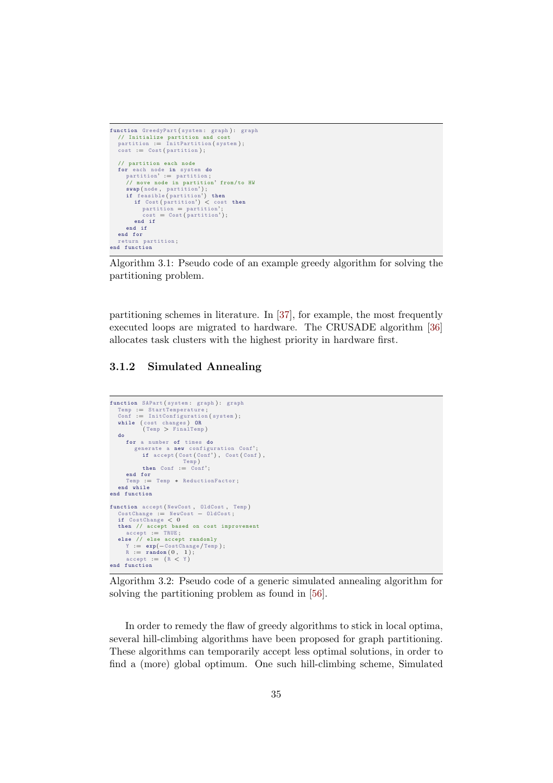```
function GreedyPart (system: graph): graph
     // Initialize partition and cost<br>partition := InitPartition(system);<br>cost := Cost(partition);
     // partition each node<br>for each node in system do<br>partition' := partition;<br>// move node in partition' from/to HW<br>swap(node, partition');<br>if feasible (partition') then<br>if Cost (partition') < cost then
                partition = partition'cost = Cost(partition');end if
         end if
     end for
     return partition ;
end function
```
Algorithm 3.1: Pseudo code of an example greedy algorithm for solving the partitioning problem.

partitioning schemes in literature. In [37], for example, the most frequently executed loops are migrated to hardware. The CRUSADE algorithm [36] allocates task clusters with the highest priority in hardware first.

#### 3.1.2 Simulated Annealing

```
function SAPart (system: graph): graph<br>
Temp := StartTemperature;<br>
Conf := InitConfiguration (system);
     while (cost changes) OR<br>(Temp > FinalTemp)
    do
        for a number of times do
               generate a new configuration Conf';<br>if accept (Cost (Conf'), Cost (Conf),
                    Temp )
then Conf := Conf' ;
          e<mark>nd for</mark><br>Temp := Temp ∗ ReductionFactor;
end while
end function
function accept ( NewCost , OldCost , Temp )
CostChange := NewCost − OldCost ;
if CostChange < 0
     then // accept based on cost improvement<br>
accept := TRUE;<br>else // else accept randomly<br>
Y := exp(−CostChange/Temp);
          R := \text{random}(0, 1);<br>accept := (R < Y)end function
```
Algorithm 3.2: Pseudo code of a generic simulated annealing algorithm for solving the partitioning problem as found in [56].

In order to remedy the flaw of greedy algorithms to stick in local optima, several hill-climbing algorithms have been proposed for graph partitioning. These algorithms can temporarily accept less optimal solutions, in order to find a (more) global optimum. One such hill-climbing scheme, Simulated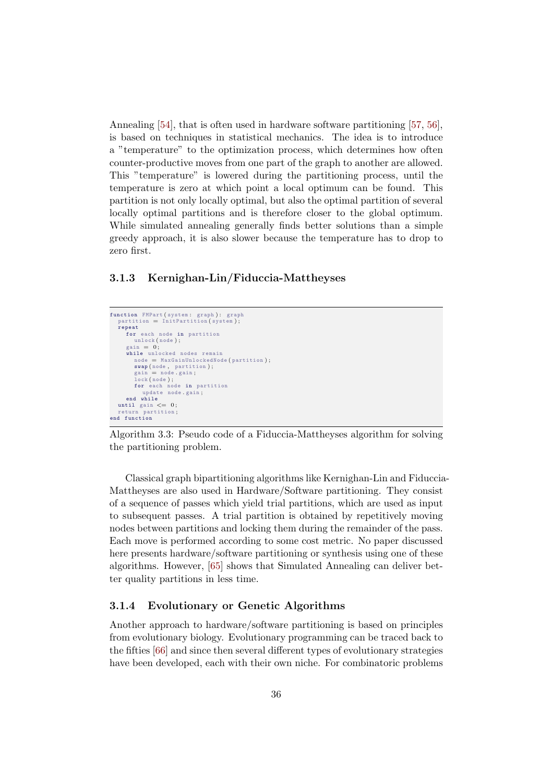Annealing [54], that is often used in hardware software partitioning [57, 56], is based on techniques in statistical mechanics. The idea is to introduce a "temperature" to the optimization process, which determines how often counter-productive moves from one part of the graph to another are allowed. This "temperature" is lowered during the partitioning process, until the temperature is zero at which point a local optimum can be found. This partition is not only locally optimal, but also the optimal partition of several locally optimal partitions and is therefore closer to the global optimum. While simulated annealing generally finds better solutions than a simple greedy approach, it is also slower because the temperature has to drop to zero first.

#### 3.1.3 Kernighan-Lin/Fiduccia-Mattheyses

```
function FMPart (system: graph): graph<br>partition = InitPartition (system);
   repeat
      for each node in partition
          unlock (node);
       gain = 0;while unlocked nodes remain<br>
node = MaxGainUnlockedNode(partition);
           swap ( node , partition ) ;
gain = node . gain ;
           lock ( node ) ;
for each node in partition
update node . gain ;
       end while
   until gain \leq 0;<br>return partition:
               partition;
end function
```
Algorithm 3.3: Pseudo code of a Fiduccia-Mattheyses algorithm for solving the partitioning problem.

Classical graph bipartitioning algorithms like Kernighan-Lin and Fiduccia-Mattheyses are also used in Hardware/Software partitioning. They consist of a sequence of passes which yield trial partitions, which are used as input to subsequent passes. A trial partition is obtained by repetitively moving nodes between partitions and locking them during the remainder of the pass. Each move is performed according to some cost metric. No paper discussed here presents hardware/software partitioning or synthesis using one of these algorithms. However, [65] shows that Simulated Annealing can deliver better quality partitions in less time.

#### 3.1.4 Evolutionary or Genetic Algorithms

Another approach to hardware/software partitioning is based on principles from evolutionary biology. Evolutionary programming can be traced back to the fifties [66] and since then several different types of evolutionary strategies have been developed, each with their own niche. For combinatoric problems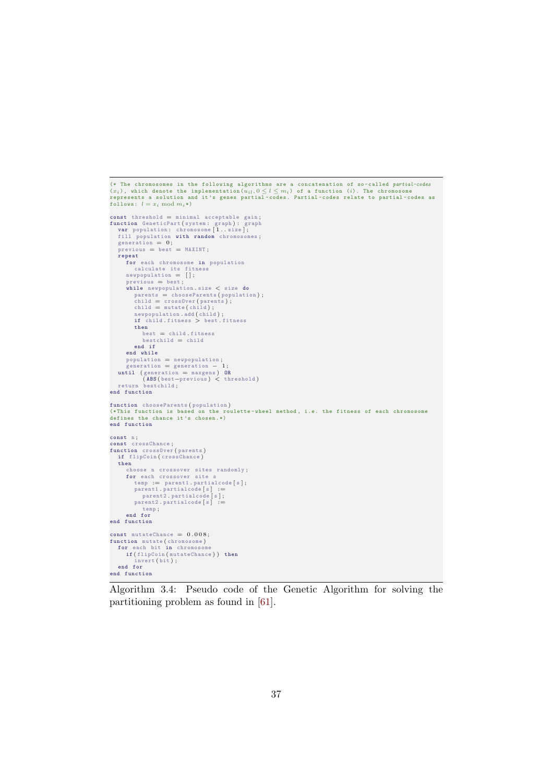```
(* The chromosomes in the following algorithms are a concatenation of so-called partial-codes<br>(x_i), which denote the implementation(u_{il}, 0 \le l \le m_i) of a function (i). The chromosome<br>represents a solution and it'
const threshold = minimal acceptable gain;<br>
function GeneticPart (system: graph): graph<br>
var population: chromosome [1..size];<br>
fill population with random chromosomes;<br>
generation = 0;<br>
previous = best = MAXINT;
    repeat
          for each chromosome in population<br>calculate its fitness<br>newpopulation = [];
          previous = best;<br>
while newpopulation .size < size do<br>
parents = chooseParents (population);<br>
child = crossOver (parents);<br>
child = mutate (child);<br>
newpopulation .add (child);
              if child . fitness > best . fitness
              then
                    best = child . fitness
bestchild = child
             end if
         end while
     population = newpopulation;<br>
generation = generation - 1;<br>
until (generation = maxgens) OR<br>
(ABS (best-previous) < threshold)
    return bestchild ;
end function
function chooseParents ( population )
(* This function is based on the roulette - wheel method , i.e. the fitness of each chromosome
defines the chance it 's chosen .*)
end function
const n ;
const crossChance ;
function crossOver ( parents )
if flipCoin ( crossChance )
    then
         choose n crossover sites randomly ;
          for each crossover site s<br>
temp := parent1 partialcode [s];<br>
parent1 .partialcode [s] :=<br>
parent2 .partialcode [s];
              parent2. partialcode [s] :=
                   temp;end for
end function
const mutateChance = 0.008;
function mutate (chromosome)<br>for each bit in chromosome<br>if (flipCoin (mutateChance)) then
     invert ( bit ) ;
end for
end function
```
Algorithm 3.4: Pseudo code of the Genetic Algorithm for solving the partitioning problem as found in [61].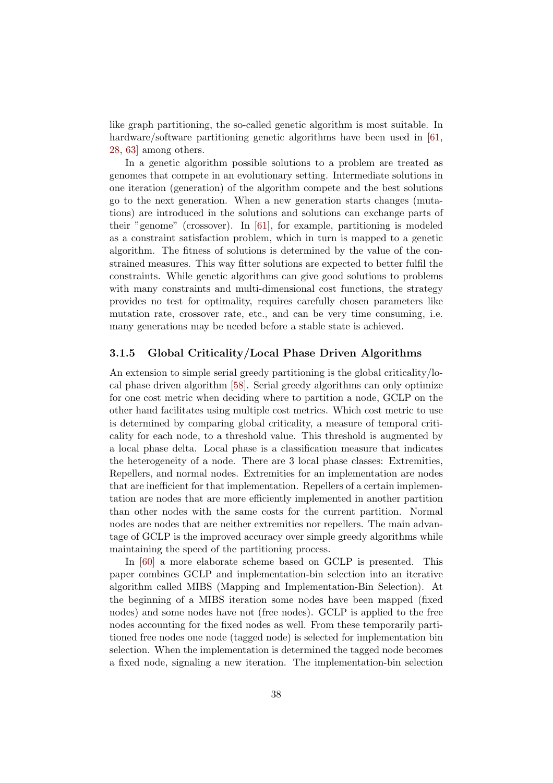like graph partitioning, the so-called genetic algorithm is most suitable. In hardware/software partitioning genetic algorithms have been used in [61, 28, 63] among others.

In a genetic algorithm possible solutions to a problem are treated as genomes that compete in an evolutionary setting. Intermediate solutions in one iteration (generation) of the algorithm compete and the best solutions go to the next generation. When a new generation starts changes (mutations) are introduced in the solutions and solutions can exchange parts of their "genome" (crossover). In [61], for example, partitioning is modeled as a constraint satisfaction problem, which in turn is mapped to a genetic algorithm. The fitness of solutions is determined by the value of the constrained measures. This way fitter solutions are expected to better fulfil the constraints. While genetic algorithms can give good solutions to problems with many constraints and multi-dimensional cost functions, the strategy provides no test for optimality, requires carefully chosen parameters like mutation rate, crossover rate, etc., and can be very time consuming, i.e. many generations may be needed before a stable state is achieved.

#### 3.1.5 Global Criticality/Local Phase Driven Algorithms

An extension to simple serial greedy partitioning is the global criticality/local phase driven algorithm [58]. Serial greedy algorithms can only optimize for one cost metric when deciding where to partition a node, GCLP on the other hand facilitates using multiple cost metrics. Which cost metric to use is determined by comparing global criticality, a measure of temporal criticality for each node, to a threshold value. This threshold is augmented by a local phase delta. Local phase is a classification measure that indicates the heterogeneity of a node. There are 3 local phase classes: Extremities, Repellers, and normal nodes. Extremities for an implementation are nodes that are inefficient for that implementation. Repellers of a certain implementation are nodes that are more efficiently implemented in another partition than other nodes with the same costs for the current partition. Normal nodes are nodes that are neither extremities nor repellers. The main advantage of GCLP is the improved accuracy over simple greedy algorithms while maintaining the speed of the partitioning process.

In [60] a more elaborate scheme based on GCLP is presented. This paper combines GCLP and implementation-bin selection into an iterative algorithm called MIBS (Mapping and Implementation-Bin Selection). At the beginning of a MIBS iteration some nodes have been mapped (fixed nodes) and some nodes have not (free nodes). GCLP is applied to the free nodes accounting for the fixed nodes as well. From these temporarily partitioned free nodes one node (tagged node) is selected for implementation bin selection. When the implementation is determined the tagged node becomes a fixed node, signaling a new iteration. The implementation-bin selection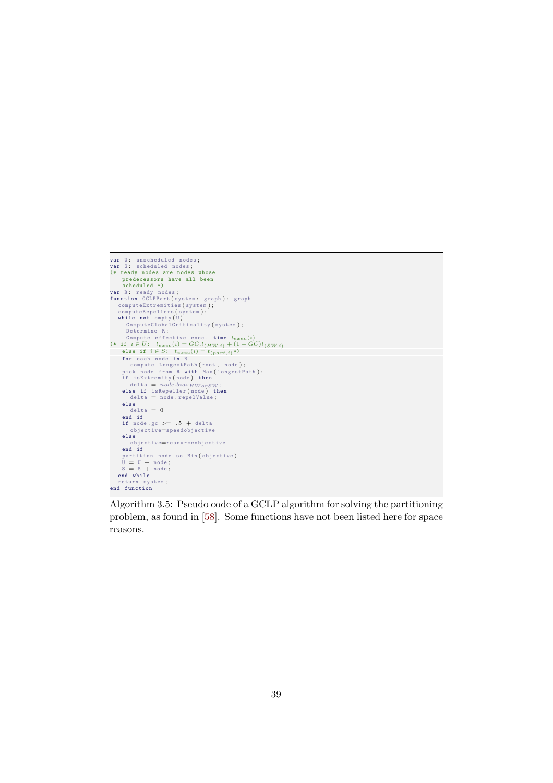```
v<mark>ar</mark> U: unscheduled nodes;<br>var S: scheduled nodes;
(* ready nodes are nodes whose
predecessors have all been
scheduled *)
var R: ready nodes;<br>
function GCDPPart (system: graph): graph<br>
computeExtremities (system);<br>
computeExtremities (system);<br>
while not empty(U)<br>
ComputeElobalCriticality (system);<br>
Determine R;<br>
compute effective exec. ti
        \begin{array}{rcl}\n\text{data} & = & \text{if}\n\end{array}else<br>
delta = 0
          end if
if node . gc >= . 5 + delta
objective=speedobjective
        else
          objective=resourceobjective
end if
      partition node so Min (objective)<br>U = U − node;<br>S = S + node;<br>end while
return system ;
end function
```
Algorithm 3.5: Pseudo code of a GCLP algorithm for solving the partitioning problem, as found in [58]. Some functions have not been listed here for space reasons.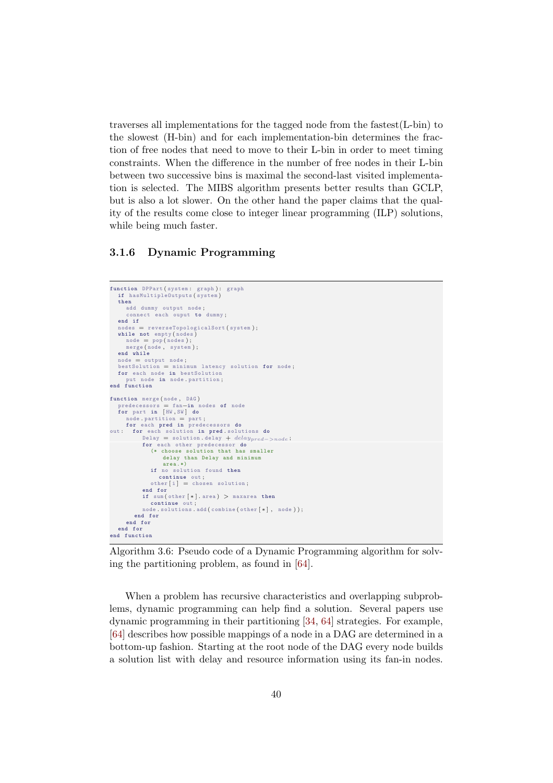traverses all implementations for the tagged node from the fastest $(L\text{-bin})$  to the slowest (H-bin) and for each implementation-bin determines the fraction of free nodes that need to move to their L-bin in order to meet timing constraints. When the difference in the number of free nodes in their L-bin between two successive bins is maximal the second-last visited implementation is selected. The MIBS algorithm presents better results than GCLP, but is also a lot slower. On the other hand the paper claims that the quality of the results come close to integer linear programming (ILP) solutions, while being much faster.

#### 3.1.6 Dynamic Programming

```
function DPPart (system: graph): graph<br>if hasMultipleOutputs (system)
   then
     add dummy output node ;
      connect each ouput to dummy ;
   end if
   nodes = reverseTopologicalSort ( system ) ;
while not empty ( nodes )
      node = pop ( nodes ) ;
merge ( node , system ) ;
   end while
   node = output node;<br>bestSolution = minimum latency solution for node;
  for each node in bestSolution
      put node in node . partition ;
end function
function merge (node, DAG)
   predecessors = fan−in nodes of node
for part in [ HW , SW ] do
      node . partition = part ;
for each pred in predecessors do
out: for each solution in pred. solutions do
            Delay = solution . delay + delay_{pred->node};
            for each other predecessor do
              (* choose solution that has smaller
                    delay than Delay and minimum
area .*)
               if no solution found then
               continue out;<br>other [i] = chosen solution;
            end for
            if sum (other <math>|*|</math>. area) > maxarea thencontinue out ;
node . solutions . add ( combine ( other [ ∗ ] , node ) ) ;
        end for
      end for
  end for
end function
```
Algorithm 3.6: Pseudo code of a Dynamic Programming algorithm for solving the partitioning problem, as found in [64].

When a problem has recursive characteristics and overlapping subproblems, dynamic programming can help find a solution. Several papers use dynamic programming in their partitioning [34, 64] strategies. For example, [64] describes how possible mappings of a node in a DAG are determined in a bottom-up fashion. Starting at the root node of the DAG every node builds a solution list with delay and resource information using its fan-in nodes.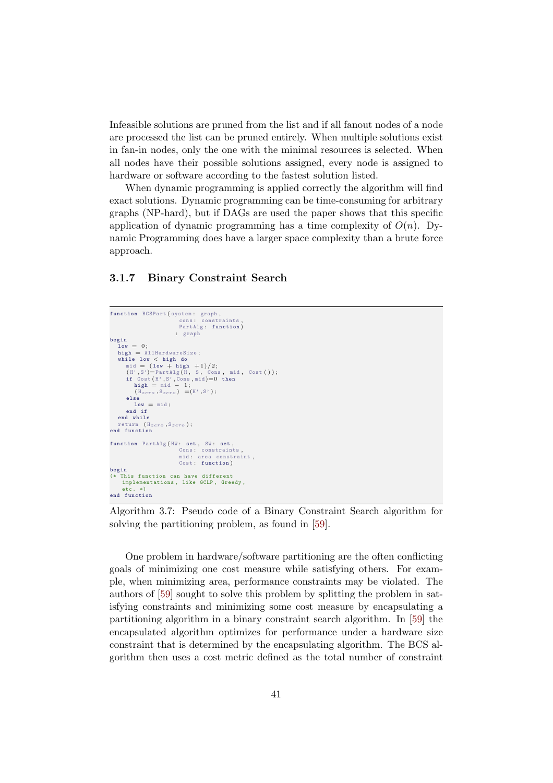Infeasible solutions are pruned from the list and if all fanout nodes of a node are processed the list can be pruned entirely. When multiple solutions exist in fan-in nodes, only the one with the minimal resources is selected. When all nodes have their possible solutions assigned, every node is assigned to hardware or software according to the fastest solution listed.

When dynamic programming is applied correctly the algorithm will find exact solutions. Dynamic programming can be time-consuming for arbitrary graphs (NP-hard), but if DAGs are used the paper shows that this specific application of dynamic programming has a time complexity of  $O(n)$ . Dynamic Programming does have a larger space complexity than a brute force approach.

#### 3.1.7 Binary Constraint Search

```
function BCSPart (system: graph,
                                  cons : constraints ,
PartAlg : function )
                                : graph
begin
    \overline{\mathbf{1}} ov = 0 \cdothigh = AllHardwareSize;while low \lt high do<br>
mid = (low + high +1)/2;<br>
if Cost(H',S',Cons, mid)=0 then<br>
high = mid - 1;<br>
high = mid - 1;<br>
high = mid - 1;<br>
(H<sub>zero</sub>,S<sub>zero</sub>) =(H',S');
       else
          low = mid;end if
    end while
return (H_{zero}, S_{zero});<br>end function
function PartAlg (HW: set, SW: set,
                                  Cons: constraints,<br>mid: area constraint,
                                  Cost: function)
begin
    <sub>2</sub>---<br>This function can have different
     implementations, like GCLP, Greedy,
      etc. *)
end function
```
Algorithm 3.7: Pseudo code of a Binary Constraint Search algorithm for solving the partitioning problem, as found in [59].

One problem in hardware/software partitioning are the often conflicting goals of minimizing one cost measure while satisfying others. For example, when minimizing area, performance constraints may be violated. The authors of [59] sought to solve this problem by splitting the problem in satisfying constraints and minimizing some cost measure by encapsulating a partitioning algorithm in a binary constraint search algorithm. In [59] the encapsulated algorithm optimizes for performance under a hardware size constraint that is determined by the encapsulating algorithm. The BCS algorithm then uses a cost metric defined as the total number of constraint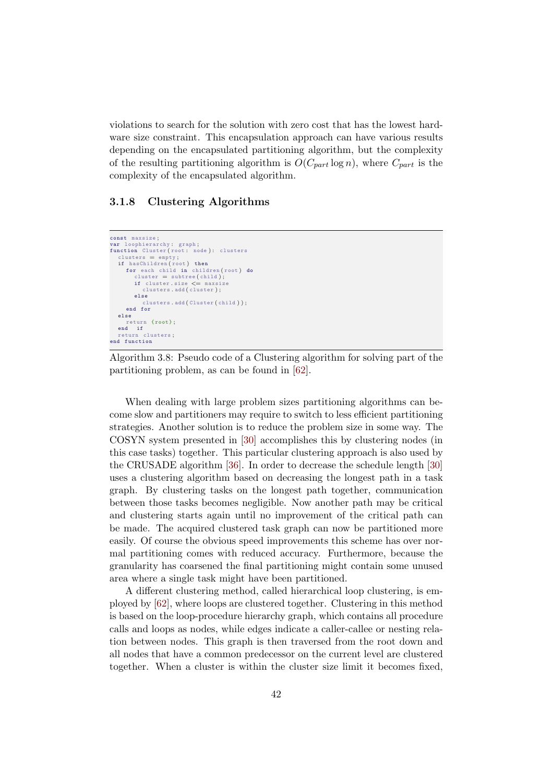violations to search for the solution with zero cost that has the lowest hardware size constraint. This encapsulation approach can have various results depending on the encapsulated partitioning algorithm, but the complexity of the resulting partitioning algorithm is  $O(C_{part} \log n)$ , where  $C_{part}$  is the complexity of the encapsulated algorithm.

#### 3.1.8 Clustering Algorithms

```
const maxsize ;
v<mark>ar</mark> loophierarchy: graph;<br>function Cluster(root: node): clusters
    clusters = empty ;
if hasChildren ( root ) then
        for each child in children (root) do<br>cluster = subtree (child);
            if cluster.size \leq maxsize<br>clusters.add(cluster);
           else
                clusters . add ( Cluster ( child ) ) ;
       end for
   else
    return { root } ;
end if
     nd ii<br>eturn clusters;
end function
```
Algorithm 3.8: Pseudo code of a Clustering algorithm for solving part of the partitioning problem, as can be found in [62].

When dealing with large problem sizes partitioning algorithms can become slow and partitioners may require to switch to less efficient partitioning strategies. Another solution is to reduce the problem size in some way. The COSYN system presented in [30] accomplishes this by clustering nodes (in this case tasks) together. This particular clustering approach is also used by the CRUSADE algorithm [36]. In order to decrease the schedule length [30] uses a clustering algorithm based on decreasing the longest path in a task graph. By clustering tasks on the longest path together, communication between those tasks becomes negligible. Now another path may be critical and clustering starts again until no improvement of the critical path can be made. The acquired clustered task graph can now be partitioned more easily. Of course the obvious speed improvements this scheme has over normal partitioning comes with reduced accuracy. Furthermore, because the granularity has coarsened the final partitioning might contain some unused area where a single task might have been partitioned.

A different clustering method, called hierarchical loop clustering, is employed by [62], where loops are clustered together. Clustering in this method is based on the loop-procedure hierarchy graph, which contains all procedure calls and loops as nodes, while edges indicate a caller-callee or nesting relation between nodes. This graph is then traversed from the root down and all nodes that have a common predecessor on the current level are clustered together. When a cluster is within the cluster size limit it becomes fixed,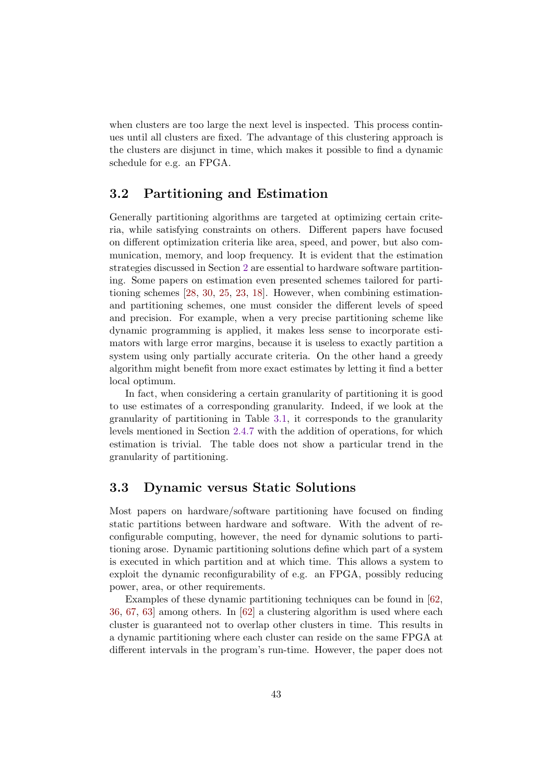when clusters are too large the next level is inspected. This process continues until all clusters are fixed. The advantage of this clustering approach is the clusters are disjunct in time, which makes it possible to find a dynamic schedule for e.g. an FPGA.

#### 3.2 Partitioning and Estimation

Generally partitioning algorithms are targeted at optimizing certain criteria, while satisfying constraints on others. Different papers have focused on different optimization criteria like area, speed, and power, but also communication, memory, and loop frequency. It is evident that the estimation strategies discussed in Section 2 are essential to hardware software partitioning. Some papers on estimation even presented schemes tailored for partitioning schemes [28, 30, 25, 23, 18]. However, when combining estimationand partitioning schemes, one must consider the different levels of speed and precision. For example, when a very precise partitioning scheme like dynamic programming is applied, it makes less sense to incorporate estimators with large error margins, because it is useless to exactly partition a system using only partially accurate criteria. On the other hand a greedy algorithm might benefit from more exact estimates by letting it find a better local optimum.

In fact, when considering a certain granularity of partitioning it is good to use estimates of a corresponding granularity. Indeed, if we look at the granularity of partitioning in Table 3.1, it corresponds to the granularity levels mentioned in Section 2.4.7 with the addition of operations, for which estimation is trivial. The table does not show a particular trend in the granularity of partitioning.

#### 3.3 Dynamic versus Static Solutions

Most papers on hardware/software partitioning have focused on finding static partitions between hardware and software. With the advent of reconfigurable computing, however, the need for dynamic solutions to partitioning arose. Dynamic partitioning solutions define which part of a system is executed in which partition and at which time. This allows a system to exploit the dynamic reconfigurability of e.g. an FPGA, possibly reducing power, area, or other requirements.

Examples of these dynamic partitioning techniques can be found in [62, 36, 67, 63] among others. In [62] a clustering algorithm is used where each cluster is guaranteed not to overlap other clusters in time. This results in a dynamic partitioning where each cluster can reside on the same FPGA at different intervals in the program's run-time. However, the paper does not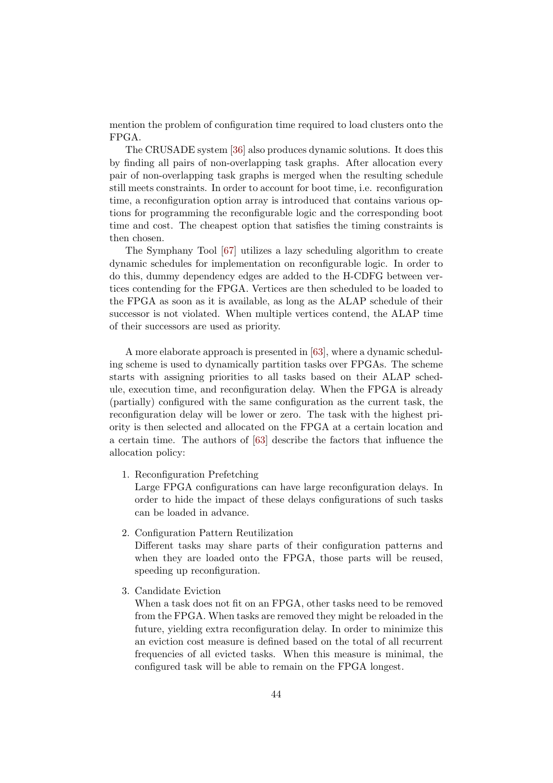mention the problem of configuration time required to load clusters onto the FPGA.

The CRUSADE system [36] also produces dynamic solutions. It does this by finding all pairs of non-overlapping task graphs. After allocation every pair of non-overlapping task graphs is merged when the resulting schedule still meets constraints. In order to account for boot time, i.e. reconfiguration time, a reconfiguration option array is introduced that contains various options for programming the reconfigurable logic and the corresponding boot time and cost. The cheapest option that satisfies the timing constraints is then chosen.

The Symphany Tool [67] utilizes a lazy scheduling algorithm to create dynamic schedules for implementation on reconfigurable logic. In order to do this, dummy dependency edges are added to the H-CDFG between vertices contending for the FPGA. Vertices are then scheduled to be loaded to the FPGA as soon as it is available, as long as the ALAP schedule of their successor is not violated. When multiple vertices contend, the ALAP time of their successors are used as priority.

A more elaborate approach is presented in [63], where a dynamic scheduling scheme is used to dynamically partition tasks over FPGAs. The scheme starts with assigning priorities to all tasks based on their ALAP schedule, execution time, and reconfiguration delay. When the FPGA is already (partially) configured with the same configuration as the current task, the reconfiguration delay will be lower or zero. The task with the highest priority is then selected and allocated on the FPGA at a certain location and a certain time. The authors of [63] describe the factors that influence the allocation policy:

1. Reconfiguration Prefetching

Large FPGA configurations can have large reconfiguration delays. In order to hide the impact of these delays configurations of such tasks can be loaded in advance.

2. Configuration Pattern Reutilization

Different tasks may share parts of their configuration patterns and when they are loaded onto the FPGA, those parts will be reused, speeding up reconfiguration.

3. Candidate Eviction

When a task does not fit on an FPGA, other tasks need to be removed from the FPGA. When tasks are removed they might be reloaded in the future, yielding extra reconfiguration delay. In order to minimize this an eviction cost measure is defined based on the total of all recurrent frequencies of all evicted tasks. When this measure is minimal, the configured task will be able to remain on the FPGA longest.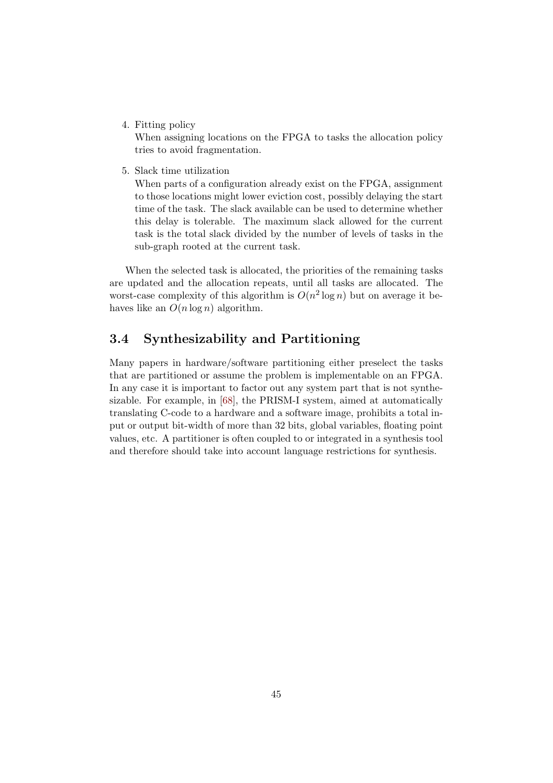4. Fitting policy

When assigning locations on the FPGA to tasks the allocation policy tries to avoid fragmentation.

5. Slack time utilization

When parts of a configuration already exist on the FPGA, assignment to those locations might lower eviction cost, possibly delaying the start time of the task. The slack available can be used to determine whether this delay is tolerable. The maximum slack allowed for the current task is the total slack divided by the number of levels of tasks in the sub-graph rooted at the current task.

When the selected task is allocated, the priorities of the remaining tasks are updated and the allocation repeats, until all tasks are allocated. The worst-case complexity of this algorithm is  $O(n^2 \log n)$  but on average it behaves like an  $O(n \log n)$  algorithm.

#### 3.4 Synthesizability and Partitioning

Many papers in hardware/software partitioning either preselect the tasks that are partitioned or assume the problem is implementable on an FPGA. In any case it is important to factor out any system part that is not synthesizable. For example, in [68], the PRISM-I system, aimed at automatically translating C-code to a hardware and a software image, prohibits a total input or output bit-width of more than 32 bits, global variables, floating point values, etc. A partitioner is often coupled to or integrated in a synthesis tool and therefore should take into account language restrictions for synthesis.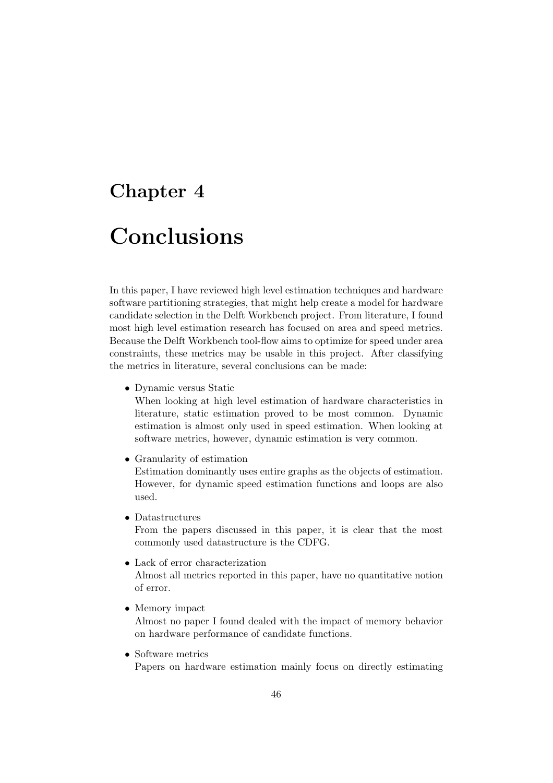### Chapter 4

## Conclusions

In this paper, I have reviewed high level estimation techniques and hardware software partitioning strategies, that might help create a model for hardware candidate selection in the Delft Workbench project. From literature, I found most high level estimation research has focused on area and speed metrics. Because the Delft Workbench tool-flow aims to optimize for speed under area constraints, these metrics may be usable in this project. After classifying the metrics in literature, several conclusions can be made:

• Dynamic versus Static

When looking at high level estimation of hardware characteristics in literature, static estimation proved to be most common. Dynamic estimation is almost only used in speed estimation. When looking at software metrics, however, dynamic estimation is very common.

• Granularity of estimation

Estimation dominantly uses entire graphs as the objects of estimation. However, for dynamic speed estimation functions and loops are also used.

• Datastructures

From the papers discussed in this paper, it is clear that the most commonly used datastructure is the CDFG.

• Lack of error characterization

Almost all metrics reported in this paper, have no quantitative notion of error.

• Memory impact

Almost no paper I found dealed with the impact of memory behavior on hardware performance of candidate functions.

• Software metrics

Papers on hardware estimation mainly focus on directly estimating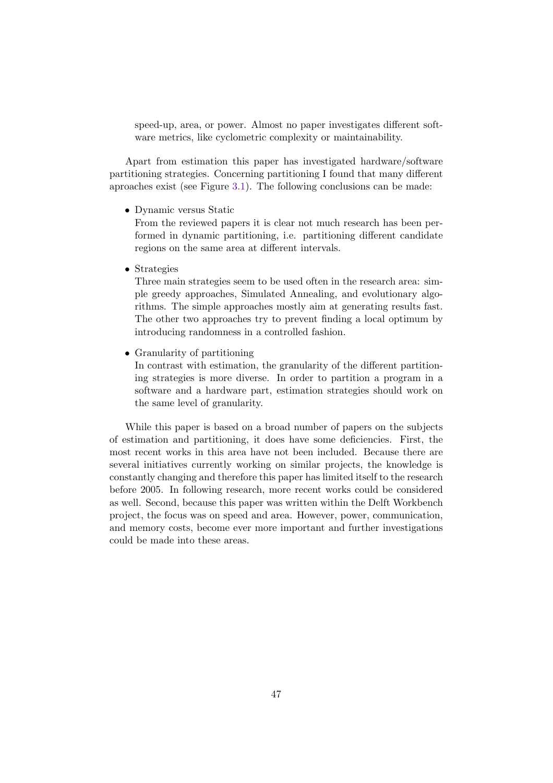speed-up, area, or power. Almost no paper investigates different software metrics, like cyclometric complexity or maintainability.

Apart from estimation this paper has investigated hardware/software partitioning strategies. Concerning partitioning I found that many different aproaches exist (see Figure 3.1). The following conclusions can be made:

• Dynamic versus Static

From the reviewed papers it is clear not much research has been performed in dynamic partitioning, i.e. partitioning different candidate regions on the same area at different intervals.

• Strategies

Three main strategies seem to be used often in the research area: simple greedy approaches, Simulated Annealing, and evolutionary algorithms. The simple approaches mostly aim at generating results fast. The other two approaches try to prevent finding a local optimum by introducing randomness in a controlled fashion.

• Granularity of partitioning

In contrast with estimation, the granularity of the different partitioning strategies is more diverse. In order to partition a program in a software and a hardware part, estimation strategies should work on the same level of granularity.

While this paper is based on a broad number of papers on the subjects of estimation and partitioning, it does have some deficiencies. First, the most recent works in this area have not been included. Because there are several initiatives currently working on similar projects, the knowledge is constantly changing and therefore this paper has limited itself to the research before 2005. In following research, more recent works could be considered as well. Second, because this paper was written within the Delft Workbench project, the focus was on speed and area. However, power, communication, and memory costs, become ever more important and further investigations could be made into these areas.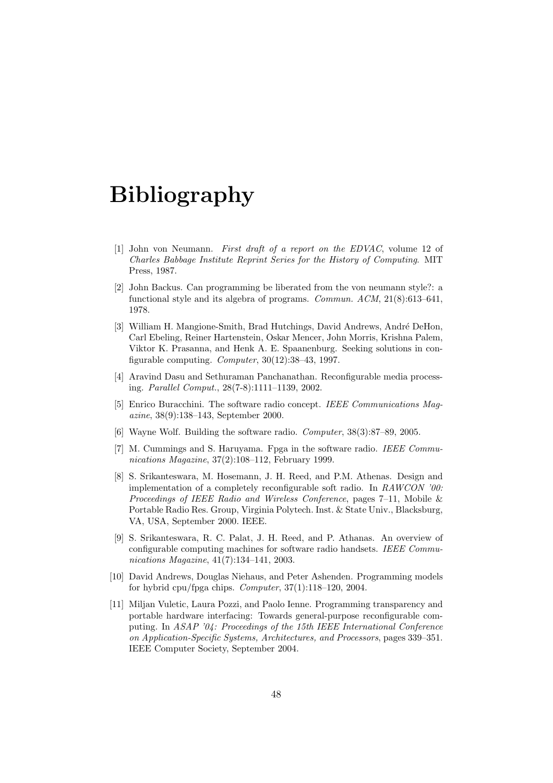## Bibliography

- [1] John von Neumann. First draft of a report on the EDVAC, volume 12 of Charles Babbage Institute Reprint Series for the History of Computing. MIT Press, 1987.
- [2] John Backus. Can programming be liberated from the von neumann style?: a functional style and its algebra of programs. Commun. ACM, 21(8):613–641, 1978.
- [3] William H. Mangione-Smith, Brad Hutchings, David Andrews, André DeHon, Carl Ebeling, Reiner Hartenstein, Oskar Mencer, John Morris, Krishna Palem, Viktor K. Prasanna, and Henk A. E. Spaanenburg. Seeking solutions in configurable computing. Computer,  $30(12):38-43$ , 1997.
- [4] Aravind Dasu and Sethuraman Panchanathan. Reconfigurable media processing. Parallel Comput., 28(7-8):1111–1139, 2002.
- [5] Enrico Buracchini. The software radio concept. IEEE Communications Magazine, 38(9):138–143, September 2000.
- [6] Wayne Wolf. Building the software radio. Computer, 38(3):87–89, 2005.
- [7] M. Cummings and S. Haruyama. Fpga in the software radio. IEEE Communications Magazine, 37(2):108–112, February 1999.
- [8] S. Srikanteswara, M. Hosemann, J. H. Reed, and P.M. Athenas. Design and implementation of a completely reconfigurable soft radio. In RAWCON '00: Proceedings of IEEE Radio and Wireless Conference, pages 7–11, Mobile & Portable Radio Res. Group, Virginia Polytech. Inst. & State Univ., Blacksburg, VA, USA, September 2000. IEEE.
- [9] S. Srikanteswara, R. C. Palat, J. H. Reed, and P. Athanas. An overview of configurable computing machines for software radio handsets. IEEE Communications Magazine, 41(7):134–141, 2003.
- [10] David Andrews, Douglas Niehaus, and Peter Ashenden. Programming models for hybrid cpu/fpga chips. Computer, 37(1):118–120, 2004.
- [11] Miljan Vuletic, Laura Pozzi, and Paolo Ienne. Programming transparency and portable hardware interfacing: Towards general-purpose reconfigurable computing. In ASAP '04: Proceedings of the 15th IEEE International Conference on Application-Specific Systems, Architectures, and Processors, pages 339–351. IEEE Computer Society, September 2004.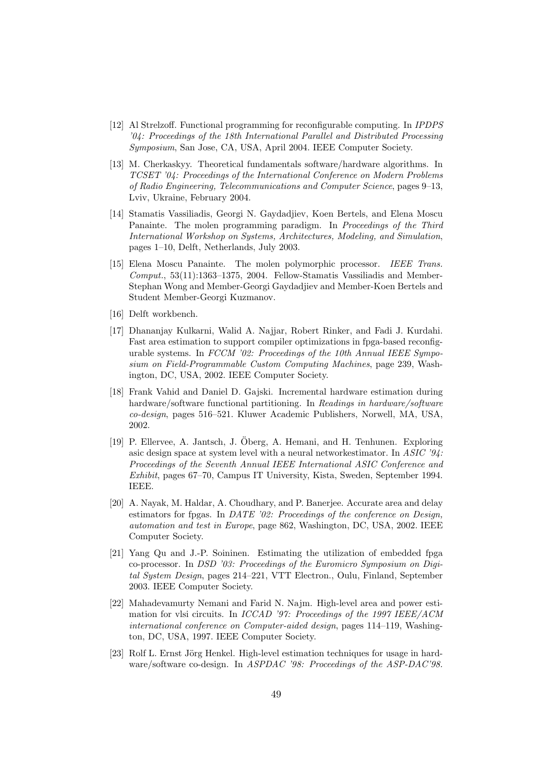- [12] Al Strelzoff. Functional programming for reconfigurable computing. In IPDPS '04: Proceedings of the 18th International Parallel and Distributed Processing Symposium, San Jose, CA, USA, April 2004. IEEE Computer Society.
- [13] M. Cherkaskyy. Theoretical fundamentals software/hardware algorithms. In TCSET '04: Proceedings of the International Conference on Modern Problems of Radio Engineering, Telecommunications and Computer Science, pages 9–13, Lviv, Ukraine, February 2004.
- [14] Stamatis Vassiliadis, Georgi N. Gaydadjiev, Koen Bertels, and Elena Moscu Panainte. The molen programming paradigm. In Proceedings of the Third International Workshop on Systems, Architectures, Modeling, and Simulation, pages 1–10, Delft, Netherlands, July 2003.
- [15] Elena Moscu Panainte. The molen polymorphic processor. IEEE Trans. Comput., 53(11):1363–1375, 2004. Fellow-Stamatis Vassiliadis and Member-Stephan Wong and Member-Georgi Gaydadjiev and Member-Koen Bertels and Student Member-Georgi Kuzmanov.
- [16] Delft workbench.
- [17] Dhananjay Kulkarni, Walid A. Najjar, Robert Rinker, and Fadi J. Kurdahi. Fast area estimation to support compiler optimizations in fpga-based reconfigurable systems. In FCCM '02: Proceedings of the 10th Annual IEEE Symposium on Field-Programmable Custom Computing Machines, page 239, Washington, DC, USA, 2002. IEEE Computer Society.
- [18] Frank Vahid and Daniel D. Gajski. Incremental hardware estimation during hardware/software functional partitioning. In Readings in hardware/software co-design, pages 516–521. Kluwer Academic Publishers, Norwell, MA, USA, 2002.
- [19] P. Ellervee, A. Jantsch, J. Oberg, A. Hemani, and H. Tenhunen. Exploring ¨ asic design space at system level with a neural networkestimator. In ASIC '94: Proceedings of the Seventh Annual IEEE International ASIC Conference and Exhibit, pages 67–70, Campus IT University, Kista, Sweden, September 1994. IEEE.
- [20] A. Nayak, M. Haldar, A. Choudhary, and P. Banerjee. Accurate area and delay estimators for fipgas. In DATE '02: Proceedings of the conference on Design, automation and test in Europe, page 862, Washington, DC, USA, 2002. IEEE Computer Society.
- [21] Yang Qu and J.-P. Soininen. Estimating the utilization of embedded fpga co-processor. In DSD '03: Proceedings of the Euromicro Symposium on Digital System Design, pages 214–221, VTT Electron., Oulu, Finland, September 2003. IEEE Computer Society.
- [22] Mahadevamurty Nemani and Farid N. Najm. High-level area and power estimation for vlsi circuits. In ICCAD '97: Proceedings of the 1997 IEEE/ACM international conference on Computer-aided design, pages 114–119, Washington, DC, USA, 1997. IEEE Computer Society.
- [23] Rolf L. Ernst Jörg Henkel. High-level estimation techniques for usage in hardware/software co-design. In ASPDAC '98: Proceedings of the ASP-DAC'98.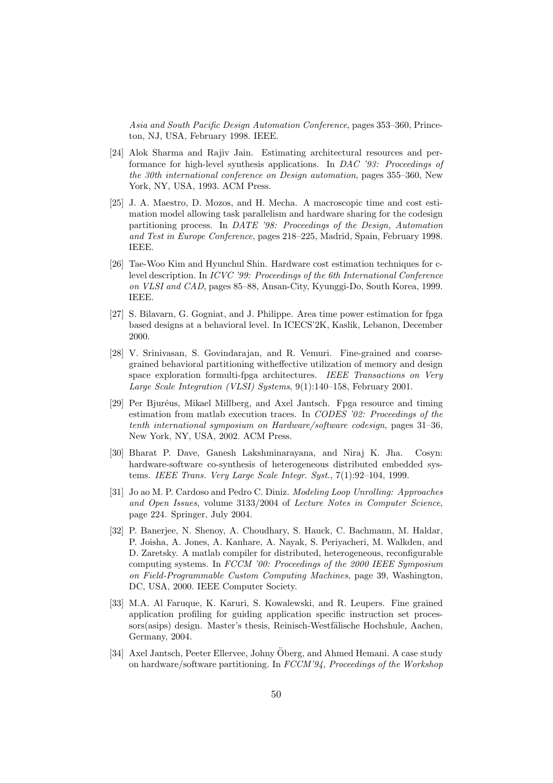Asia and South Pacific Design Automation Conference, pages 353–360, Princeton, NJ, USA, February 1998. IEEE.

- [24] Alok Sharma and Rajiv Jain. Estimating architectural resources and performance for high-level synthesis applications. In DAC '93: Proceedings of the 30th international conference on Design automation, pages 355–360, New York, NY, USA, 1993. ACM Press.
- [25] J. A. Maestro, D. Mozos, and H. Mecha. A macroscopic time and cost estimation model allowing task parallelism and hardware sharing for the codesign partitioning process. In DATE '98: Proceedings of the Design, Automation and Test in Europe Conference, pages 218–225, Madrid, Spain, February 1998. IEEE.
- [26] Tae-Woo Kim and Hyunchul Shin. Hardware cost estimation techniques for clevel description. In ICVC '99: Proceedings of the 6th International Conference on VLSI and CAD, pages 85–88, Ansan-City, Kyunggi-Do, South Korea, 1999. IEEE.
- [27] S. Bilavarn, G. Gogniat, and J. Philippe. Area time power estimation for fpga based designs at a behavioral level. In ICECS'2K, Kaslik, Lebanon, December 2000.
- [28] V. Srinivasan, S. Govindarajan, and R. Vemuri. Fine-grained and coarsegrained behavioral partitioning witheffective utilization of memory and design space exploration formulti-fpga architectures. IEEE Transactions on Very Large Scale Integration (VLSI) Systems, 9(1):140–158, February 2001.
- [29] Per Bjuréus, Mikael Millberg, and Axel Jantsch. Fpga resource and timing estimation from matlab execution traces. In CODES '02: Proceedings of the tenth international symposium on Hardware/software codesign, pages 31–36, New York, NY, USA, 2002. ACM Press.
- [30] Bharat P. Dave, Ganesh Lakshminarayana, and Niraj K. Jha. Cosyn: hardware-software co-synthesis of heterogeneous distributed embedded systems. IEEE Trans. Very Large Scale Integr. Syst.,  $7(1):92-104$ , 1999.
- [31] Jo ao M. P. Cardoso and Pedro C. Diniz. Modeling Loop Unrolling: Approaches and Open Issues, volume 3133/2004 of Lecture Notes in Computer Science, page 224. Springer, July 2004.
- [32] P. Banerjee, N. Shenoy, A. Choudhary, S. Hauck, C. Bachmann, M. Haldar, P. Joisha, A. Jones, A. Kanhare, A. Nayak, S. Periyacheri, M. Walkden, and D. Zaretsky. A matlab compiler for distributed, heterogeneous, reconfigurable computing systems. In FCCM '00: Proceedings of the 2000 IEEE Symposium on Field-Programmable Custom Computing Machines, page 39, Washington, DC, USA, 2000. IEEE Computer Society.
- [33] M.A. Al Faruque, K. Karuri, S. Kowalewski, and R. Leupers. Fine grained application profiling for guiding application specific instruction set processors(asips) design. Master's thesis, Reinisch-Westfälische Hochshule, Aachen, Germany, 2004.
- [34] Axel Jantsch, Peeter Ellervee, Johny Öberg, and Ahmed Hemani. A case study on hardware/software partitioning. In FCCM'94, Proceedings of the Workshop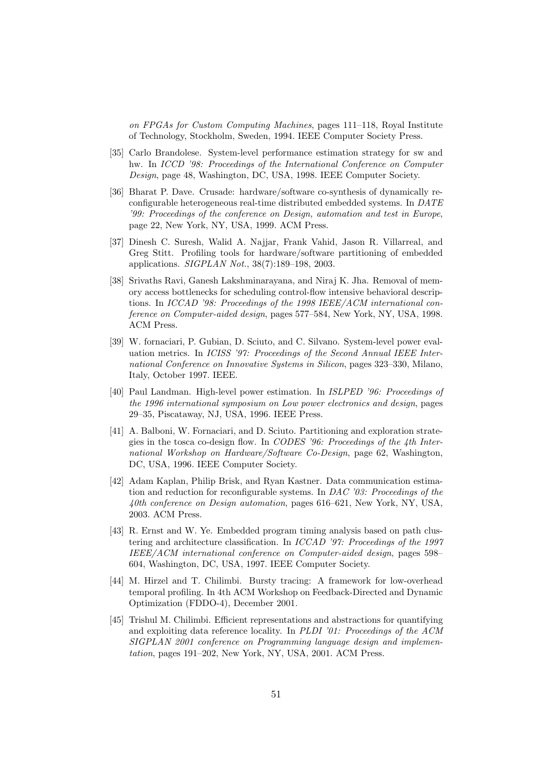on FPGAs for Custom Computing Machines, pages 111–118, Royal Institute of Technology, Stockholm, Sweden, 1994. IEEE Computer Society Press.

- [35] Carlo Brandolese. System-level performance estimation strategy for sw and hw. In ICCD '98: Proceedings of the International Conference on Computer Design, page 48, Washington, DC, USA, 1998. IEEE Computer Society.
- [36] Bharat P. Dave. Crusade: hardware/software co-synthesis of dynamically reconfigurable heterogeneous real-time distributed embedded systems. In DATE '99: Proceedings of the conference on Design, automation and test in Europe, page 22, New York, NY, USA, 1999. ACM Press.
- [37] Dinesh C. Suresh, Walid A. Najjar, Frank Vahid, Jason R. Villarreal, and Greg Stitt. Profiling tools for hardware/software partitioning of embedded applications. SIGPLAN Not., 38(7):189–198, 2003.
- [38] Srivaths Ravi, Ganesh Lakshminarayana, and Niraj K. Jha. Removal of memory access bottlenecks for scheduling control-flow intensive behavioral descriptions. In ICCAD '98: Proceedings of the 1998 IEEE/ACM international conference on Computer-aided design, pages 577–584, New York, NY, USA, 1998. ACM Press.
- [39] W. fornaciari, P. Gubian, D. Sciuto, and C. Silvano. System-level power evaluation metrics. In ICISS '97: Proceedings of the Second Annual IEEE International Conference on Innovative Systems in Silicon, pages 323–330, Milano, Italy, October 1997. IEEE.
- [40] Paul Landman. High-level power estimation. In ISLPED '96: Proceedings of the 1996 international symposium on Low power electronics and design, pages 29–35, Piscataway, NJ, USA, 1996. IEEE Press.
- [41] A. Balboni, W. Fornaciari, and D. Sciuto. Partitioning and exploration strategies in the tosca co-design flow. In CODES '96: Proceedings of the 4th International Workshop on Hardware/Software Co-Design, page 62, Washington, DC, USA, 1996. IEEE Computer Society.
- [42] Adam Kaplan, Philip Brisk, and Ryan Kastner. Data communication estimation and reduction for reconfigurable systems. In DAC '03: Proceedings of the 40th conference on Design automation, pages 616–621, New York, NY, USA, 2003. ACM Press.
- [43] R. Ernst and W. Ye. Embedded program timing analysis based on path clustering and architecture classification. In ICCAD '97: Proceedings of the 1997 IEEE/ACM international conference on Computer-aided design, pages 598– 604, Washington, DC, USA, 1997. IEEE Computer Society.
- [44] M. Hirzel and T. Chilimbi. Bursty tracing: A framework for low-overhead temporal profiling. In 4th ACM Workshop on Feedback-Directed and Dynamic Optimization (FDDO-4), December 2001.
- [45] Trishul M. Chilimbi. Efficient representations and abstractions for quantifying and exploiting data reference locality. In PLDI '01: Proceedings of the ACM SIGPLAN 2001 conference on Programming language design and implementation, pages 191–202, New York, NY, USA, 2001. ACM Press.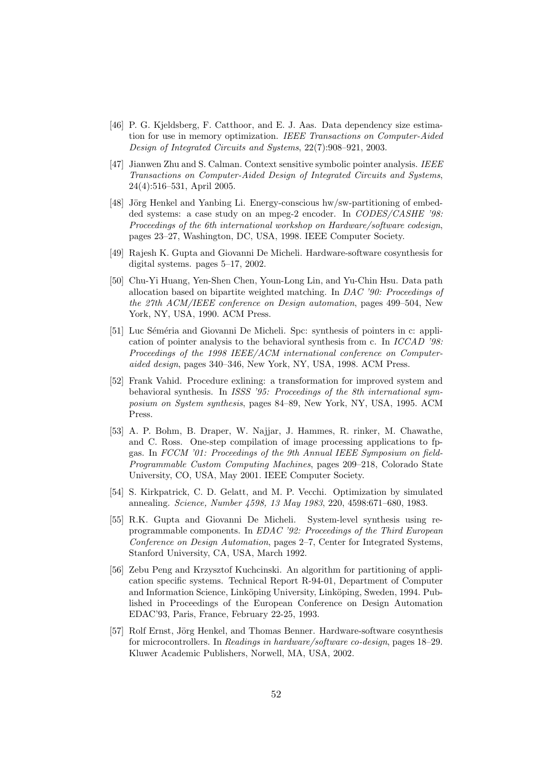- [46] P. G. Kjeldsberg, F. Catthoor, and E. J. Aas. Data dependency size estimation for use in memory optimization. IEEE Transactions on Computer-Aided Design of Integrated Circuits and Systems, 22(7):908–921, 2003.
- [47] Jianwen Zhu and S. Calman. Context sensitive symbolic pointer analysis. IEEE Transactions on Computer-Aided Design of Integrated Circuits and Systems, 24(4):516–531, April 2005.
- [48] Jörg Henkel and Yanbing Li. Energy-conscious hw/sw-partitioning of embedded systems: a case study on an mpeg-2 encoder. In *CODES/CASHE '98*: Proceedings of the 6th international workshop on Hardware/software codesign, pages 23–27, Washington, DC, USA, 1998. IEEE Computer Society.
- [49] Rajesh K. Gupta and Giovanni De Micheli. Hardware-software cosynthesis for digital systems. pages 5–17, 2002.
- [50] Chu-Yi Huang, Yen-Shen Chen, Youn-Long Lin, and Yu-Chin Hsu. Data path allocation based on bipartite weighted matching. In  $DAC$  '90: Proceedings of the 27th ACM/IEEE conference on Design automation, pages 499–504, New York, NY, USA, 1990. ACM Press.
- [51] Luc Séméria and Giovanni De Micheli. Spc: synthesis of pointers in c: application of pointer analysis to the behavioral synthesis from c. In ICCAD '98: Proceedings of the 1998 IEEE/ACM international conference on Computeraided design, pages 340–346, New York, NY, USA, 1998. ACM Press.
- [52] Frank Vahid. Procedure exlining: a transformation for improved system and behavioral synthesis. In ISSS '95: Proceedings of the 8th international symposium on System synthesis, pages 84–89, New York, NY, USA, 1995. ACM Press.
- [53] A. P. Bohm, B. Draper, W. Najjar, J. Hammes, R. rinker, M. Chawathe, and C. Ross. One-step compilation of image processing applications to fpgas. In FCCM '01: Proceedings of the 9th Annual IEEE Symposium on field-Programmable Custom Computing Machines, pages 209–218, Colorado State University, CO, USA, May 2001. IEEE Computer Society.
- [54] S. Kirkpatrick, C. D. Gelatt, and M. P. Vecchi. Optimization by simulated annealing. Science, Number 4598, 13 May 1983, 220, 4598:671–680, 1983.
- [55] R.K. Gupta and Giovanni De Micheli. System-level synthesis using reprogrammable components. In EDAC '92: Proceedings of the Third European Conference on Design Automation, pages 2–7, Center for Integrated Systems, Stanford University, CA, USA, March 1992.
- [56] Zebu Peng and Krzysztof Kuchcinski. An algorithm for partitioning of application specific systems. Technical Report R-94-01, Department of Computer and Information Science, Linköping University, Linköping, Sweden, 1994. Published in Proceedings of the European Conference on Design Automation EDAC'93, Paris, France, February 22-25, 1993.
- [57] Rolf Ernst, Jörg Henkel, and Thomas Benner. Hardware-software cosynthesis for microcontrollers. In Readings in hardware/software co-design, pages 18–29. Kluwer Academic Publishers, Norwell, MA, USA, 2002.